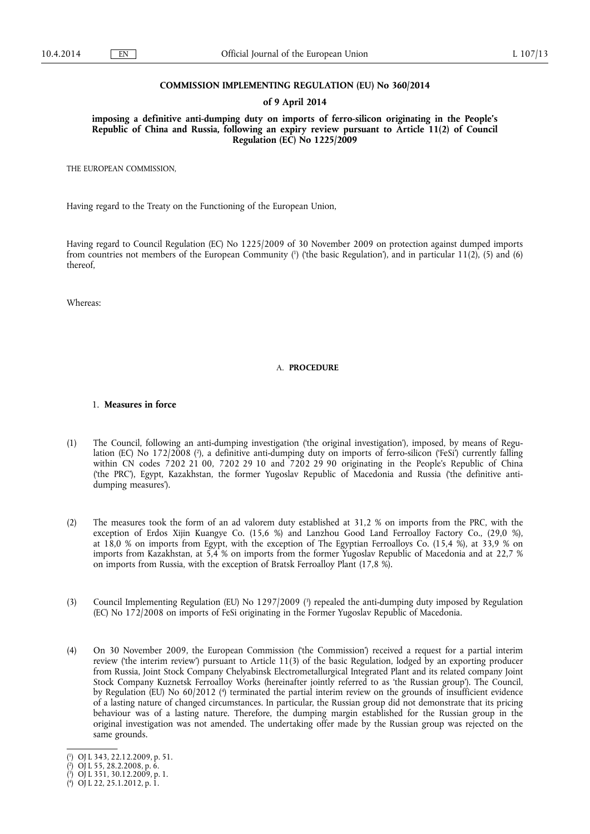## **COMMISSION IMPLEMENTING REGULATION (EU) No 360/2014**

#### **of 9 April 2014**

**imposing a definitive anti-dumping duty on imports of ferro-silicon originating in the People's Republic of China and Russia, following an expiry review pursuant to Article 11(2) of Council Regulation (EC) No 1225/2009** 

THE EUROPEAN COMMISSION,

Having regard to the Treaty on the Functioning of the European Union,

Having regard to Council Regulation (EC) No 1225/2009 of 30 November 2009 on protection against dumped imports from countries not members of the European Community (<sup>1</sup>) ('the basic Regulation'), and in particular 11(2), (5) and (6) thereof,

Whereas:

#### A. **PROCEDURE**

## 1. **Measures in force**

- (1) The Council, following an anti-dumping investigation ('the original investigation'), imposed, by means of Regulation (EC) No 172/2008 ( 2 ), a definitive anti-dumping duty on imports of ferro-silicon ('FeSi') currently falling within CN codes 7202 21 00, 7202 29 10 and 7202 29 90 originating in the People's Republic of China ('the PRC'), Egypt, Kazakhstan, the former Yugoslav Republic of Macedonia and Russia ('the definitive antidumping measures').
- (2) The measures took the form of an ad valorem duty established at 31,2 % on imports from the PRC, with the exception of Erdos Xijin Kuangye Co. (15,6 %) and Lanzhou Good Land Ferroalloy Factory Co., (29,0 %), at 18,0 % on imports from Egypt, with the exception of The Egyptian Ferroalloys Co. (15,4 %), at 33,9 % on imports from Kazakhstan, at 5,4 % on imports from the former Yugoslav Republic of Macedonia and at 22,7 % on imports from Russia, with the exception of Bratsk Ferroalloy Plant (17,8 %).
- (3) Council Implementing Regulation (EU) No 1297/2009 ( 3 ) repealed the anti-dumping duty imposed by Regulation (EC) No 172/2008 on imports of FeSi originating in the Former Yugoslav Republic of Macedonia.
- (4) On 30 November 2009, the European Commission ('the Commission') received a request for a partial interim review ('the interim review') pursuant to Article 11(3) of the basic Regulation, lodged by an exporting producer from Russia, Joint Stock Company Chelyabinsk Electrometallurgical Integrated Plant and its related company Joint Stock Company Kuznetsk Ferroalloy Works (hereinafter jointly referred to as 'the Russian group'). The Council, by Regulation (EU) No 60/2012 (<sup>4</sup>) terminated the partial interim review on the grounds of insufficient evidence of a lasting nature of changed circumstances. In particular, the Russian group did not demonstrate that its pricing behaviour was of a lasting nature. Therefore, the dumping margin established for the Russian group in the original investigation was not amended. The undertaking offer made by the Russian group was rejected on the same grounds.

<sup>(</sup> 1 ) OJ L 343, 22.12.2009, p. 51.

<sup>(</sup> 2 ) OJ L 55, 28.2.2008, p. 6.

<sup>(</sup> 3 ) OJ L 351, 30.12.2009, p. 1.

<sup>(</sup> 4 ) OJ L 22, 25.1.2012, p. 1.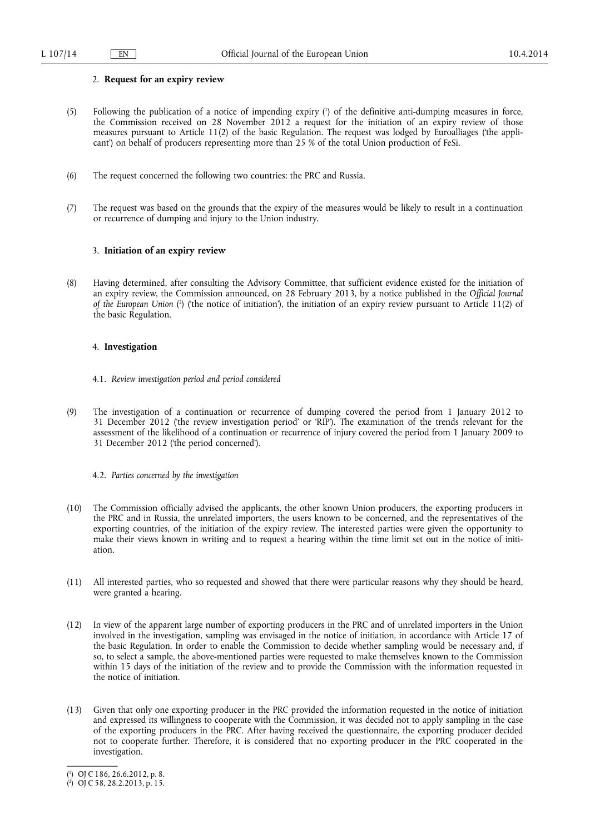# 2. **Request for an expiry review**

- (5) Following the publication of a notice of impending expiry ( 1 ) of the definitive anti-dumping measures in force, the Commission received on 28 November 2012 a request for the initiation of an expiry review of those measures pursuant to Article 11(2) of the basic Regulation. The request was lodged by Euroalliages ('the applicant') on behalf of producers representing more than 25 % of the total Union production of FeSi.
- (6) The request concerned the following two countries: the PRC and Russia.
- (7) The request was based on the grounds that the expiry of the measures would be likely to result in a continuation or recurrence of dumping and injury to the Union industry.

# 3. **Initiation of an expiry review**

(8) Having determined, after consulting the Advisory Committee, that sufficient evidence existed for the initiation of an expiry review, the Commission announced, on 28 February 2013, by a notice published in the *Official Journal*  of the European Union (?) ('the notice of initiation'), the initiation of an expiry review pursuant to Article 11(2) of the basic Regulation.

## 4. **Investigation**

- 4.1. *Review investigation period and period considered*
- (9) The investigation of a continuation or recurrence of dumping covered the period from 1 January 2012 to 31 December 2012 ('the review investigation period' or 'RIP'). The examination of the trends relevant for the assessment of the likelihood of a continuation or recurrence of injury covered the period from 1 January 2009 to 31 December 2012 ('the period concerned').
	- 4.2. *Parties concerned by the investigation*
- (10) The Commission officially advised the applicants, the other known Union producers, the exporting producers in the PRC and in Russia, the unrelated importers, the users known to be concerned, and the representatives of the exporting countries, of the initiation of the expiry review. The interested parties were given the opportunity to make their views known in writing and to request a hearing within the time limit set out in the notice of initiation.
- (11) All interested parties, who so requested and showed that there were particular reasons why they should be heard, were granted a hearing.
- (12) In view of the apparent large number of exporting producers in the PRC and of unrelated importers in the Union involved in the investigation, sampling was envisaged in the notice of initiation, in accordance with Article 17 of the basic Regulation. In order to enable the Commission to decide whether sampling would be necessary and, if so, to select a sample, the above-mentioned parties were requested to make themselves known to the Commission within 15 days of the initiation of the review and to provide the Commission with the information requested in the notice of initiation.
- (13) Given that only one exporting producer in the PRC provided the information requested in the notice of initiation and expressed its willingness to cooperate with the Commission, it was decided not to apply sampling in the case of the exporting producers in the PRC. After having received the questionnaire, the exporting producer decided not to cooperate further. Therefore, it is considered that no exporting producer in the PRC cooperated in the investigation.

<sup>(</sup> 1 ) OJ C 186, 26.6.2012, p. 8.

<sup>(</sup> 2 ) OJ C 58, 28.2.2013, p. 15.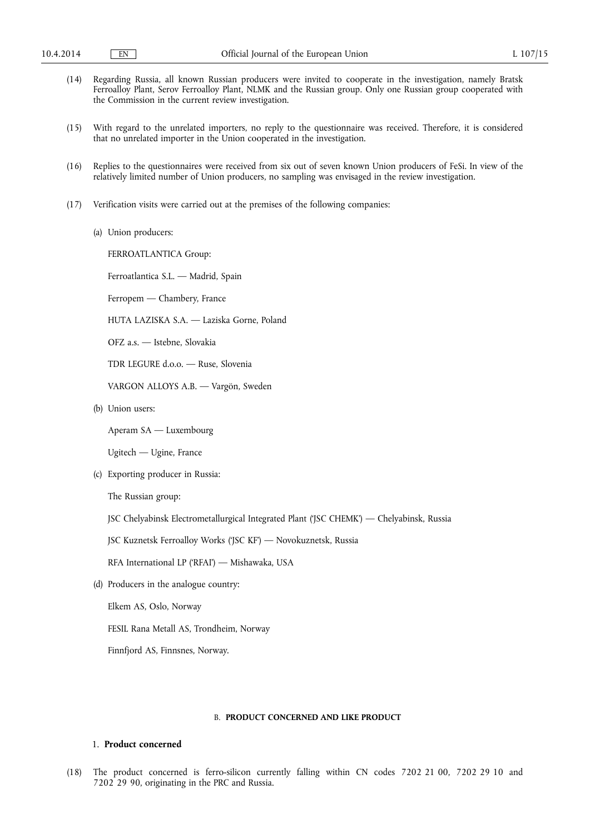- (14) Regarding Russia, all known Russian producers were invited to cooperate in the investigation, namely Bratsk Ferroalloy Plant, Serov Ferroalloy Plant, NLMK and the Russian group. Only one Russian group cooperated with the Commission in the current review investigation.
- (15) With regard to the unrelated importers, no reply to the questionnaire was received. Therefore, it is considered that no unrelated importer in the Union cooperated in the investigation.
- (16) Replies to the questionnaires were received from six out of seven known Union producers of FeSi. In view of the relatively limited number of Union producers, no sampling was envisaged in the review investigation.
- (17) Verification visits were carried out at the premises of the following companies:
	- (a) Union producers:

FERROATLANTICA Group:

Ferroatlantica S.L. — Madrid, Spain

Ferropem — Chambery, France

HUTA LAZISKA S.A. — Laziska Gorne, Poland

OFZ a.s. — Istebne, Slovakia

TDR LEGURE d.o.o. — Ruse, Slovenia

VARGON ALLOYS A.B. — Vargön, Sweden

(b) Union users:

Aperam SA — Luxembourg

Ugitech — Ugine, France

(c) Exporting producer in Russia:

The Russian group:

JSC Chelyabinsk Electrometallurgical Integrated Plant ('JSC CHEMK') — Chelyabinsk, Russia

JSC Kuznetsk Ferroalloy Works ('JSC KF') — Novokuznetsk, Russia

- RFA International LP ('RFAI') Mishawaka, USA
- (d) Producers in the analogue country:

Elkem AS, Oslo, Norway

FESIL Rana Metall AS, Trondheim, Norway

Finnfjord AS, Finnsnes, Norway.

## B. **PRODUCT CONCERNED AND LIKE PRODUCT**

# 1. **Product concerned**

(18) The product concerned is ferro-silicon currently falling within CN codes 7202 21 00, 7202 29 10 and 7202 29 90, originating in the PRC and Russia.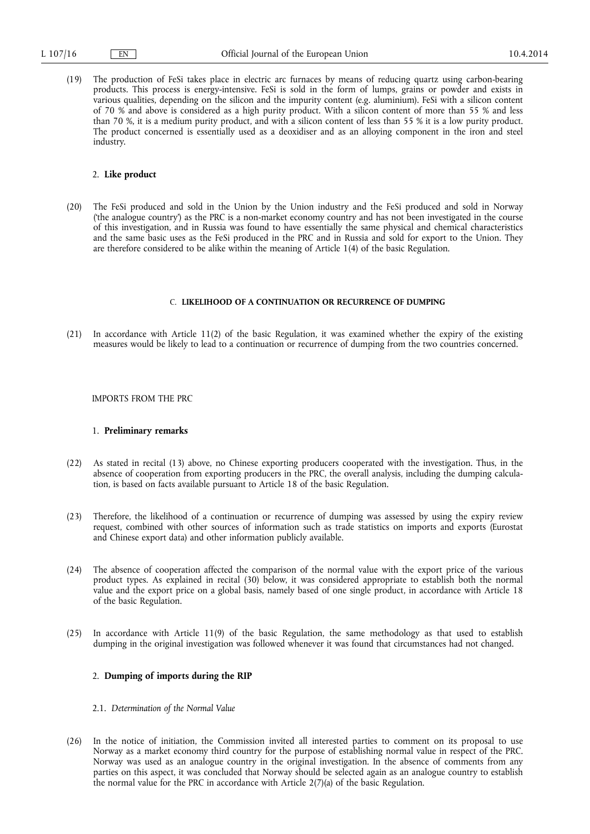(19) The production of FeSi takes place in electric arc furnaces by means of reducing quartz using carbon-bearing products. This process is energy-intensive. FeSi is sold in the form of lumps, grains or powder and exists in various qualities, depending on the silicon and the impurity content (e.g. aluminium). FeSi with a silicon content of 70 % and above is considered as a high purity product. With a silicon content of more than 55 % and less than 70 %, it is a medium purity product, and with a silicon content of less than 55 % it is a low purity product. The product concerned is essentially used as a deoxidiser and as an alloying component in the iron and steel industry.

#### 2. **Like product**

(20) The FeSi produced and sold in the Union by the Union industry and the FeSi produced and sold in Norway ('the analogue country') as the PRC is a non-market economy country and has not been investigated in the course of this investigation, and in Russia was found to have essentially the same physical and chemical characteristics and the same basic uses as the FeSi produced in the PRC and in Russia and sold for export to the Union. They are therefore considered to be alike within the meaning of Article 1(4) of the basic Regulation.

# C. **LIKELIHOOD OF A CONTINUATION OR RECURRENCE OF DUMPING**

(21) In accordance with Article 11(2) of the basic Regulation, it was examined whether the expiry of the existing measures would be likely to lead to a continuation or recurrence of dumping from the two countries concerned.

# IMPORTS FROM THE PRC

#### 1. **Preliminary remarks**

- (22) As stated in recital (13) above, no Chinese exporting producers cooperated with the investigation. Thus, in the absence of cooperation from exporting producers in the PRC, the overall analysis, including the dumping calculation, is based on facts available pursuant to Article 18 of the basic Regulation.
- (23) Therefore, the likelihood of a continuation or recurrence of dumping was assessed by using the expiry review request, combined with other sources of information such as trade statistics on imports and exports (Eurostat and Chinese export data) and other information publicly available.
- (24) The absence of cooperation affected the comparison of the normal value with the export price of the various product types. As explained in recital (30) below, it was considered appropriate to establish both the normal value and the export price on a global basis, namely based of one single product, in accordance with Article 18 of the basic Regulation.
- (25) In accordance with Article 11(9) of the basic Regulation, the same methodology as that used to establish dumping in the original investigation was followed whenever it was found that circumstances had not changed.

# 2. **Dumping of imports during the RIP**

- 2.1. *Determination of the Normal Value*
- (26) In the notice of initiation, the Commission invited all interested parties to comment on its proposal to use Norway as a market economy third country for the purpose of establishing normal value in respect of the PRC. Norway was used as an analogue country in the original investigation. In the absence of comments from any parties on this aspect, it was concluded that Norway should be selected again as an analogue country to establish the normal value for the PRC in accordance with Article  $2(7)(a)$  of the basic Regulation.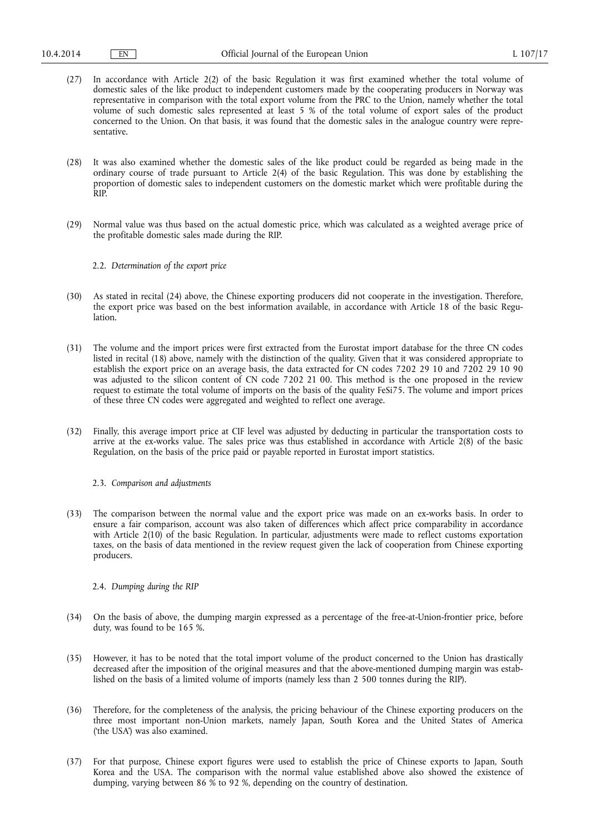- (27) In accordance with Article 2(2) of the basic Regulation it was first examined whether the total volume of domestic sales of the like product to independent customers made by the cooperating producers in Norway was representative in comparison with the total export volume from the PRC to the Union, namely whether the total volume of such domestic sales represented at least 5 % of the total volume of export sales of the product concerned to the Union. On that basis, it was found that the domestic sales in the analogue country were representative.
- (28) It was also examined whether the domestic sales of the like product could be regarded as being made in the ordinary course of trade pursuant to Article 2(4) of the basic Regulation. This was done by establishing the proportion of domestic sales to independent customers on the domestic market which were profitable during the RIP.
- (29) Normal value was thus based on the actual domestic price, which was calculated as a weighted average price of the profitable domestic sales made during the RIP.
	- 2.2. *Determination of the export price*
- (30) As stated in recital (24) above, the Chinese exporting producers did not cooperate in the investigation. Therefore, the export price was based on the best information available, in accordance with Article 18 of the basic Regulation.
- (31) The volume and the import prices were first extracted from the Eurostat import database for the three CN codes listed in recital (18) above, namely with the distinction of the quality. Given that it was considered appropriate to establish the export price on an average basis, the data extracted for CN codes 7202 29 10 and 7202 29 10 90 was adjusted to the silicon content of CN code 7202 21 00. This method is the one proposed in the review request to estimate the total volume of imports on the basis of the quality FeSi75. The volume and import prices of these three CN codes were aggregated and weighted to reflect one average.
- (32) Finally, this average import price at CIF level was adjusted by deducting in particular the transportation costs to arrive at the ex-works value. The sales price was thus established in accordance with Article 2(8) of the basic Regulation, on the basis of the price paid or payable reported in Eurostat import statistics.

### 2.3. *Comparison and adjustments*

(33) The comparison between the normal value and the export price was made on an ex-works basis. In order to ensure a fair comparison, account was also taken of differences which affect price comparability in accordance with Article 2(10) of the basic Regulation. In particular, adjustments were made to reflect customs exportation taxes, on the basis of data mentioned in the review request given the lack of cooperation from Chinese exporting producers.

#### 2.4. *Dumping during the RIP*

- (34) On the basis of above, the dumping margin expressed as a percentage of the free-at-Union-frontier price, before duty, was found to be 165 %.
- (35) However, it has to be noted that the total import volume of the product concerned to the Union has drastically decreased after the imposition of the original measures and that the above-mentioned dumping margin was established on the basis of a limited volume of imports (namely less than 2 500 tonnes during the RIP).
- (36) Therefore, for the completeness of the analysis, the pricing behaviour of the Chinese exporting producers on the three most important non-Union markets, namely Japan, South Korea and the United States of America ('the USA') was also examined.
- (37) For that purpose, Chinese export figures were used to establish the price of Chinese exports to Japan, South Korea and the USA. The comparison with the normal value established above also showed the existence of dumping, varying between 86 % to 92 %, depending on the country of destination.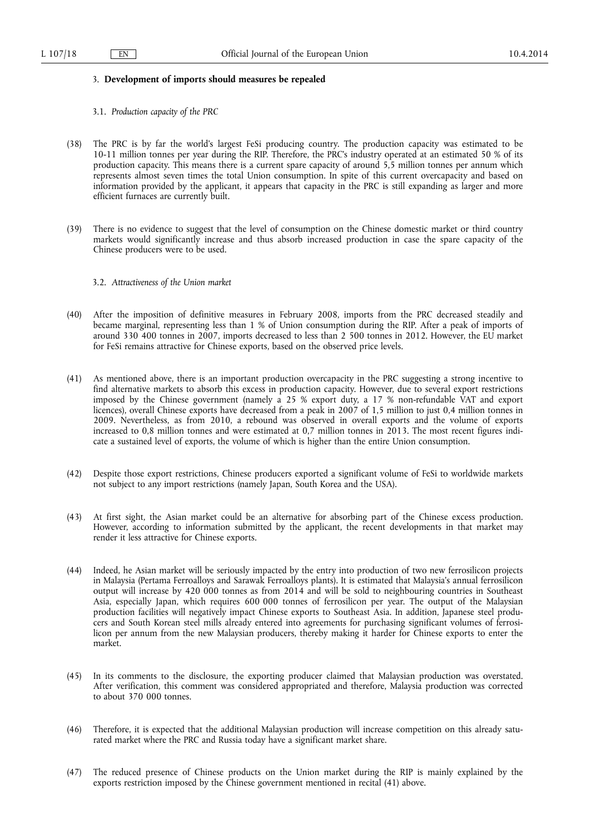#### 3. **Development of imports should measures be repealed**

- 3.1. *Production capacity of the PRC*
- (38) The PRC is by far the world's largest FeSi producing country. The production capacity was estimated to be 10-11 million tonnes per year during the RIP. Therefore, the PRC's industry operated at an estimated 50 % of its production capacity. This means there is a current spare capacity of around 5,5 million tonnes per annum which represents almost seven times the total Union consumption. In spite of this current overcapacity and based on information provided by the applicant, it appears that capacity in the PRC is still expanding as larger and more efficient furnaces are currently built.
- (39) There is no evidence to suggest that the level of consumption on the Chinese domestic market or third country markets would significantly increase and thus absorb increased production in case the spare capacity of the Chinese producers were to be used.

# 3.2. *Attractiveness of the Union market*

- (40) After the imposition of definitive measures in February 2008, imports from the PRC decreased steadily and became marginal, representing less than 1 % of Union consumption during the RIP. After a peak of imports of around 330 400 tonnes in 2007, imports decreased to less than 2 500 tonnes in 2012. However, the EU market for FeSi remains attractive for Chinese exports, based on the observed price levels.
- (41) As mentioned above, there is an important production overcapacity in the PRC suggesting a strong incentive to find alternative markets to absorb this excess in production capacity. However, due to several export restrictions imposed by the Chinese government (namely a 25 % export duty, a 17 % non-refundable VAT and export licences), overall Chinese exports have decreased from a peak in 2007 of 1,5 million to just 0,4 million tonnes in 2009. Nevertheless, as from 2010, a rebound was observed in overall exports and the volume of exports increased to 0,8 million tonnes and were estimated at 0,7 million tonnes in 2013. The most recent figures indicate a sustained level of exports, the volume of which is higher than the entire Union consumption.
- (42) Despite those export restrictions, Chinese producers exported a significant volume of FeSi to worldwide markets not subject to any import restrictions (namely Japan, South Korea and the USA).
- (43) At first sight, the Asian market could be an alternative for absorbing part of the Chinese excess production. However, according to information submitted by the applicant, the recent developments in that market may render it less attractive for Chinese exports.
- (44) Indeed, he Asian market will be seriously impacted by the entry into production of two new ferrosilicon projects in Malaysia (Pertama Ferroalloys and Sarawak Ferroalloys plants). It is estimated that Malaysia's annual ferrosilicon output will increase by 420 000 tonnes as from 2014 and will be sold to neighbouring countries in Southeast Asia, especially Japan, which requires 600 000 tonnes of ferrosilicon per year. The output of the Malaysian production facilities will negatively impact Chinese exports to Southeast Asia. In addition, Japanese steel producers and South Korean steel mills already entered into agreements for purchasing significant volumes of ferrosilicon per annum from the new Malaysian producers, thereby making it harder for Chinese exports to enter the market.
- (45) In its comments to the disclosure, the exporting producer claimed that Malaysian production was overstated. After verification, this comment was considered appropriated and therefore, Malaysia production was corrected to about 370 000 tonnes.
- (46) Therefore, it is expected that the additional Malaysian production will increase competition on this already saturated market where the PRC and Russia today have a significant market share.
- (47) The reduced presence of Chinese products on the Union market during the RIP is mainly explained by the exports restriction imposed by the Chinese government mentioned in recital (41) above.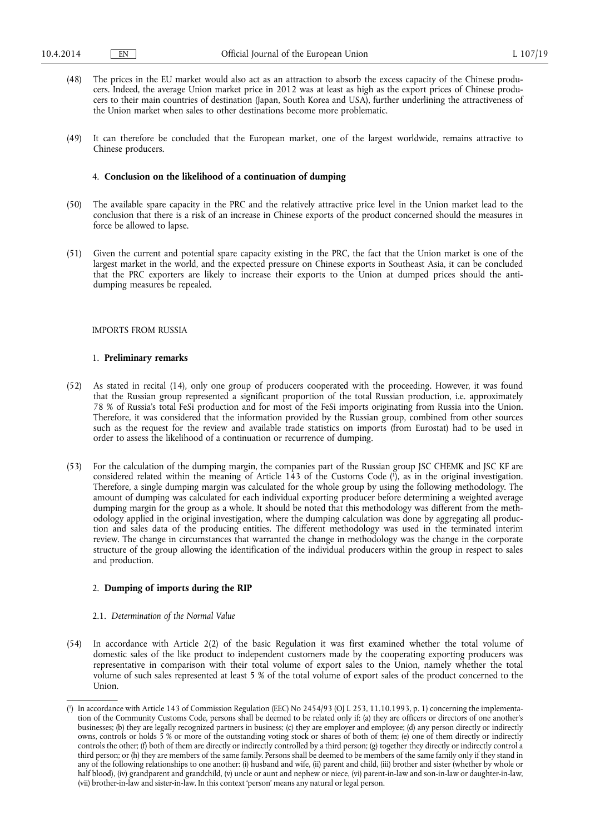- (48) The prices in the EU market would also act as an attraction to absorb the excess capacity of the Chinese producers. Indeed, the average Union market price in 2012 was at least as high as the export prices of Chinese producers to their main countries of destination (Japan, South Korea and USA), further underlining the attractiveness of the Union market when sales to other destinations become more problematic.
- (49) It can therefore be concluded that the European market, one of the largest worldwide, remains attractive to Chinese producers.

#### 4. **Conclusion on the likelihood of a continuation of dumping**

- (50) The available spare capacity in the PRC and the relatively attractive price level in the Union market lead to the conclusion that there is a risk of an increase in Chinese exports of the product concerned should the measures in force be allowed to lapse.
- (51) Given the current and potential spare capacity existing in the PRC, the fact that the Union market is one of the largest market in the world, and the expected pressure on Chinese exports in Southeast Asia, it can be concluded that the PRC exporters are likely to increase their exports to the Union at dumped prices should the antidumping measures be repealed.

## IMPORTS FROM RUSSIA

## 1. **Preliminary remarks**

- (52) As stated in recital (14), only one group of producers cooperated with the proceeding. However, it was found that the Russian group represented a significant proportion of the total Russian production, i.e. approximately 78 % of Russia's total FeSi production and for most of the FeSi imports originating from Russia into the Union. Therefore, it was considered that the information provided by the Russian group, combined from other sources such as the request for the review and available trade statistics on imports (from Eurostat) had to be used in order to assess the likelihood of a continuation or recurrence of dumping.
- (53) For the calculation of the dumping margin, the companies part of the Russian group JSC CHEMK and JSC KF are considered related within the meaning of Article 143 of the Customs Code ( 1 ), as in the original investigation. Therefore, a single dumping margin was calculated for the whole group by using the following methodology. The amount of dumping was calculated for each individual exporting producer before determining a weighted average dumping margin for the group as a whole. It should be noted that this methodology was different from the methodology applied in the original investigation, where the dumping calculation was done by aggregating all production and sales data of the producing entities. The different methodology was used in the terminated interim review. The change in circumstances that warranted the change in methodology was the change in the corporate structure of the group allowing the identification of the individual producers within the group in respect to sales and production.

# 2. **Dumping of imports during the RIP**

- 2.1. *Determination of the Normal Value*
- (54) In accordance with Article 2(2) of the basic Regulation it was first examined whether the total volume of domestic sales of the like product to independent customers made by the cooperating exporting producers was representative in comparison with their total volume of export sales to the Union, namely whether the total volume of such sales represented at least 5 % of the total volume of export sales of the product concerned to the Union.

<sup>(</sup> 1 ) In accordance with Article 143 of Commission Regulation (EEC) No 2454/93 (OJ L 253, 11.10.1993, p. 1) concerning the implementation of the Community Customs Code, persons shall be deemed to be related only if: (a) they are officers or directors of one another's businesses; (b) they are legally recognized partners in business; (c) they are employer and employee; (d) any person directly or indirectly owns, controls or holds 5 % or more of the outstanding voting stock or shares of both of them; (e) one of them directly or indirectly controls the other; (f) both of them are directly or indirectly controlled by a third person; (g) together they directly or indirectly control a third person; or (h) they are members of the same family. Persons shall be deemed to be members of the same family only if they stand in any of the following relationships to one another: (i) husband and wife, (ii) parent and child, (iii) brother and sister (whether by whole or half blood), (iv) grandparent and grandchild, (v) uncle or aunt and nephew or niece, (vi) parent-in-law and son-in-law or daughter-in-law, (vii) brother-in-law and sister-in-law. In this context 'person' means any natural or legal person.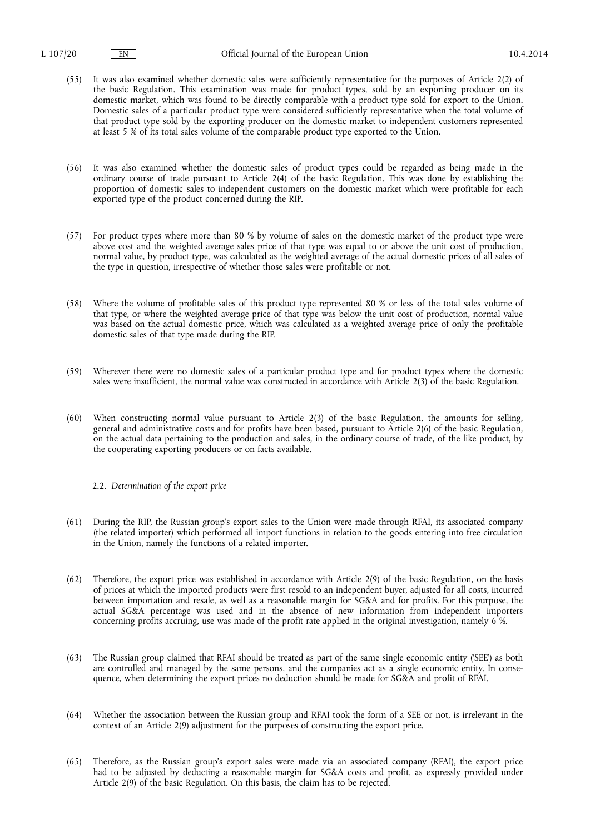- (55) It was also examined whether domestic sales were sufficiently representative for the purposes of Article 2(2) of the basic Regulation. This examination was made for product types, sold by an exporting producer on its domestic market, which was found to be directly comparable with a product type sold for export to the Union. Domestic sales of a particular product type were considered sufficiently representative when the total volume of that product type sold by the exporting producer on the domestic market to independent customers represented at least 5 % of its total sales volume of the comparable product type exported to the Union.
- (56) It was also examined whether the domestic sales of product types could be regarded as being made in the ordinary course of trade pursuant to Article 2(4) of the basic Regulation. This was done by establishing the proportion of domestic sales to independent customers on the domestic market which were profitable for each exported type of the product concerned during the RIP.
- (57) For product types where more than 80 % by volume of sales on the domestic market of the product type were above cost and the weighted average sales price of that type was equal to or above the unit cost of production, normal value, by product type, was calculated as the weighted average of the actual domestic prices of all sales of the type in question, irrespective of whether those sales were profitable or not.
- (58) Where the volume of profitable sales of this product type represented 80 % or less of the total sales volume of that type, or where the weighted average price of that type was below the unit cost of production, normal value was based on the actual domestic price, which was calculated as a weighted average price of only the profitable domestic sales of that type made during the RIP.
- (59) Wherever there were no domestic sales of a particular product type and for product types where the domestic sales were insufficient, the normal value was constructed in accordance with Article 2(3) of the basic Regulation.
- (60) When constructing normal value pursuant to Article 2(3) of the basic Regulation, the amounts for selling, general and administrative costs and for profits have been based, pursuant to Article 2(6) of the basic Regulation, on the actual data pertaining to the production and sales, in the ordinary course of trade, of the like product, by the cooperating exporting producers or on facts available.
	- 2.2. *Determination of the export price*
- (61) During the RIP, the Russian group's export sales to the Union were made through RFAI, its associated company (the related importer) which performed all import functions in relation to the goods entering into free circulation in the Union, namely the functions of a related importer.
- (62) Therefore, the export price was established in accordance with Article 2(9) of the basic Regulation, on the basis of prices at which the imported products were first resold to an independent buyer, adjusted for all costs, incurred between importation and resale, as well as a reasonable margin for SG&A and for profits. For this purpose, the actual SG&A percentage was used and in the absence of new information from independent importers concerning profits accruing, use was made of the profit rate applied in the original investigation, namely 6 %.
- (63) The Russian group claimed that RFAI should be treated as part of the same single economic entity ('SEE') as both are controlled and managed by the same persons, and the companies act as a single economic entity. In consequence, when determining the export prices no deduction should be made for SG&A and profit of RFAI.
- (64) Whether the association between the Russian group and RFAI took the form of a SEE or not, is irrelevant in the context of an Article 2(9) adjustment for the purposes of constructing the export price.
- (65) Therefore, as the Russian group's export sales were made via an associated company (RFAI), the export price had to be adjusted by deducting a reasonable margin for SG&A costs and profit, as expressly provided under Article 2(9) of the basic Regulation. On this basis, the claim has to be rejected.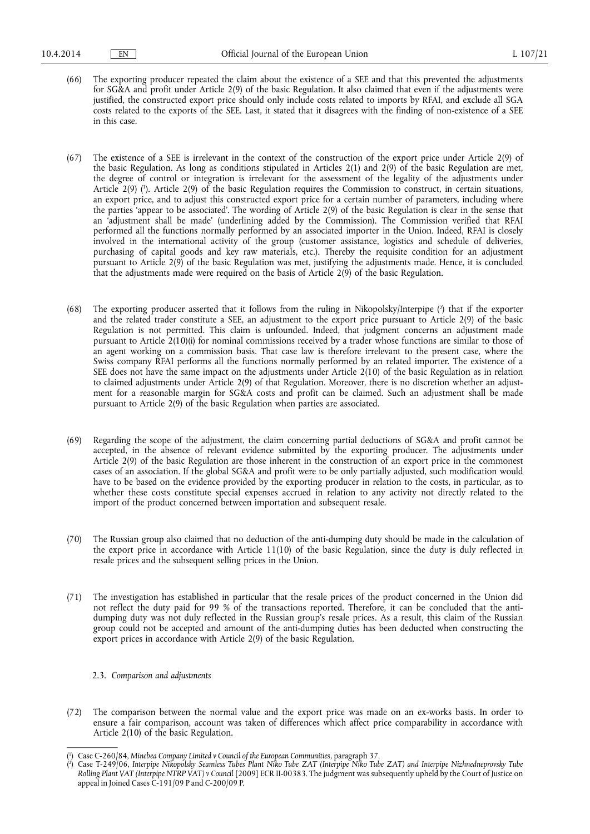- (66) The exporting producer repeated the claim about the existence of a SEE and that this prevented the adjustments for SG&A and profit under Article 2(9) of the basic Regulation. It also claimed that even if the adjustments were justified, the constructed export price should only include costs related to imports by RFAI, and exclude all SGA costs related to the exports of the SEE. Last, it stated that it disagrees with the finding of non-existence of a SEE in this case.
- (67) The existence of a SEE is irrelevant in the context of the construction of the export price under Article 2(9) of the basic Regulation. As long as conditions stipulated in Articles 2(1) and 2(9) of the basic Regulation are met, the degree of control or integration is irrelevant for the assessment of the legality of the adjustments under Article 2(9) (<sup>1</sup>). Article 2(9) of the basic Regulation requires the Commission to construct, in certain situations, an export price, and to adjust this constructed export price for a certain number of parameters, including where the parties 'appear to be associated'. The wording of Article 2(9) of the basic Regulation is clear in the sense that an 'adjustment shall be made' (underlining added by the Commission). The Commission verified that RFAI performed all the functions normally performed by an associated importer in the Union. Indeed, RFAI is closely involved in the international activity of the group (customer assistance, logistics and schedule of deliveries, purchasing of capital goods and key raw materials, etc.). Thereby the requisite condition for an adjustment pursuant to Article 2(9) of the basic Regulation was met, justifying the adjustments made. Hence, it is concluded that the adjustments made were required on the basis of Article 2(9) of the basic Regulation.
- (68) The exporting producer asserted that it follows from the ruling in Nikopolsky/Interpipe ( 2 ) that if the exporter and the related trader constitute a SEE, an adjustment to the export price pursuant to Article 2(9) of the basic Regulation is not permitted. This claim is unfounded. Indeed, that judgment concerns an adjustment made pursuant to Article 2(10)(i) for nominal commissions received by a trader whose functions are similar to those of an agent working on a commission basis. That case law is therefore irrelevant to the present case, where the Swiss company RFAI performs all the functions normally performed by an related importer. The existence of a SEE does not have the same impact on the adjustments under Article 2(10) of the basic Regulation as in relation to claimed adjustments under Article 2(9) of that Regulation. Moreover, there is no discretion whether an adjustment for a reasonable margin for SG&A costs and profit can be claimed. Such an adjustment shall be made pursuant to Article 2(9) of the basic Regulation when parties are associated.
- (69) Regarding the scope of the adjustment, the claim concerning partial deductions of SG&A and profit cannot be accepted, in the absence of relevant evidence submitted by the exporting producer. The adjustments under Article 2(9) of the basic Regulation are those inherent in the construction of an export price in the commonest cases of an association. If the global SG&A and profit were to be only partially adjusted, such modification would have to be based on the evidence provided by the exporting producer in relation to the costs, in particular, as to whether these costs constitute special expenses accrued in relation to any activity not directly related to the import of the product concerned between importation and subsequent resale.
- (70) The Russian group also claimed that no deduction of the anti-dumping duty should be made in the calculation of the export price in accordance with Article 11(10) of the basic Regulation, since the duty is duly reflected in resale prices and the subsequent selling prices in the Union.
- (71) The investigation has established in particular that the resale prices of the product concerned in the Union did not reflect the duty paid for 99 % of the transactions reported. Therefore, it can be concluded that the antidumping duty was not duly reflected in the Russian group's resale prices. As a result, this claim of the Russian group could not be accepted and amount of the anti-dumping duties has been deducted when constructing the export prices in accordance with Article 2(9) of the basic Regulation.
	- 2.3. *Comparison and adjustments*
- (72) The comparison between the normal value and the export price was made on an ex-works basis. In order to ensure a fair comparison, account was taken of differences which affect price comparability in accordance with Article 2(10) of the basic Regulation.

<sup>(</sup> 1 ) Case C-260/84, *Minebea Company Limited v Council of the European Communitie*s, paragraph 37.

<sup>(</sup> 2 ) Case T-249/06, *Interpipe Nikopolsky Seamless Tubes Plant Niko Tube ZAT (Interpipe Niko Tube ZAT) and Interpipe Nizhnedneprovsky Tube Rolling Plant VAT (Interpipe NTRP VAT) v Council* [2009] ECR II-00383. The judgment was subsequently upheld by the Court of Justice on appeal in Joined Cases C-191/09 P and C-200/09 P.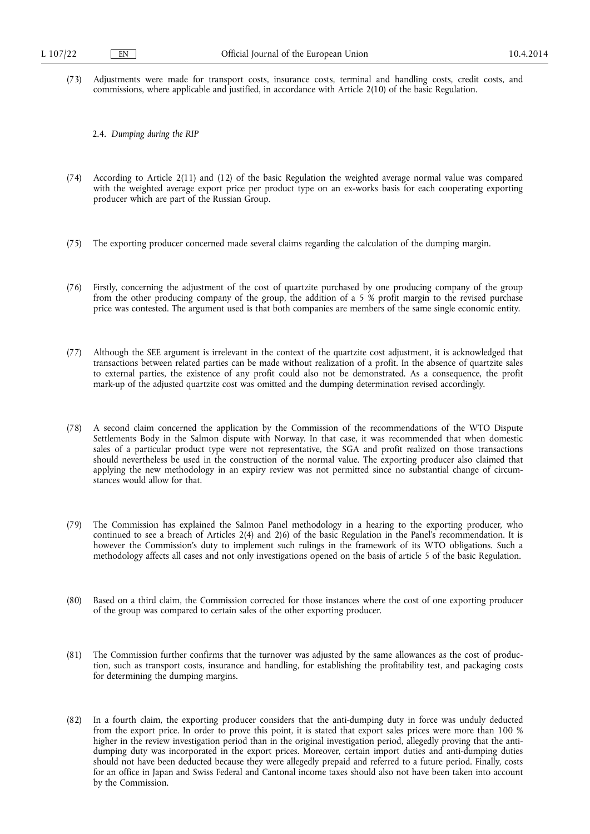- (73) Adjustments were made for transport costs, insurance costs, terminal and handling costs, credit costs, and commissions, where applicable and justified, in accordance with Article 2(10) of the basic Regulation.
	- 2.4. *Dumping during the RIP*
- (74) According to Article 2(11) and (12) of the basic Regulation the weighted average normal value was compared with the weighted average export price per product type on an ex-works basis for each cooperating exporting producer which are part of the Russian Group.
- (75) The exporting producer concerned made several claims regarding the calculation of the dumping margin.
- (76) Firstly, concerning the adjustment of the cost of quartzite purchased by one producing company of the group from the other producing company of the group, the addition of a 5 % profit margin to the revised purchase price was contested. The argument used is that both companies are members of the same single economic entity.
- (77) Although the SEE argument is irrelevant in the context of the quartzite cost adjustment, it is acknowledged that transactions between related parties can be made without realization of a profit. In the absence of quartzite sales to external parties, the existence of any profit could also not be demonstrated. As a consequence, the profit mark-up of the adjusted quartzite cost was omitted and the dumping determination revised accordingly.
- (78) A second claim concerned the application by the Commission of the recommendations of the WTO Dispute Settlements Body in the Salmon dispute with Norway. In that case, it was recommended that when domestic sales of a particular product type were not representative, the SGA and profit realized on those transactions should nevertheless be used in the construction of the normal value. The exporting producer also claimed that applying the new methodology in an expiry review was not permitted since no substantial change of circumstances would allow for that.
- (79) The Commission has explained the Salmon Panel methodology in a hearing to the exporting producer, who continued to see a breach of Articles 2(4) and 2)6) of the basic Regulation in the Panel's recommendation. It is however the Commission's duty to implement such rulings in the framework of its WTO obligations. Such a methodology affects all cases and not only investigations opened on the basis of article 5 of the basic Regulation.
- (80) Based on a third claim, the Commission corrected for those instances where the cost of one exporting producer of the group was compared to certain sales of the other exporting producer.
- (81) The Commission further confirms that the turnover was adjusted by the same allowances as the cost of production, such as transport costs, insurance and handling, for establishing the profitability test, and packaging costs for determining the dumping margins.
- (82) In a fourth claim, the exporting producer considers that the anti-dumping duty in force was unduly deducted from the export price. In order to prove this point, it is stated that export sales prices were more than 100 % higher in the review investigation period than in the original investigation period, allegedly proving that the antidumping duty was incorporated in the export prices. Moreover, certain import duties and anti-dumping duties should not have been deducted because they were allegedly prepaid and referred to a future period. Finally, costs for an office in Japan and Swiss Federal and Cantonal income taxes should also not have been taken into account by the Commission.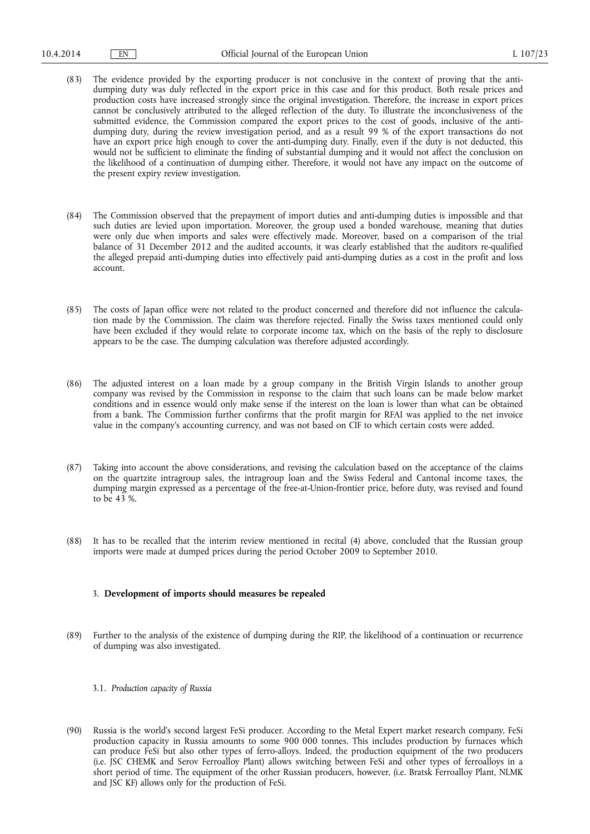- (83) The evidence provided by the exporting producer is not conclusive in the context of proving that the antidumping duty was duly reflected in the export price in this case and for this product. Both resale prices and production costs have increased strongly since the original investigation. Therefore, the increase in export prices cannot be conclusively attributed to the alleged reflection of the duty. To illustrate the inconclusiveness of the submitted evidence, the Commission compared the export prices to the cost of goods, inclusive of the antidumping duty, during the review investigation period, and as a result 99 % of the export transactions do not have an export price high enough to cover the anti-dumping duty. Finally, even if the duty is not deducted, this would not be sufficient to eliminate the finding of substantial dumping and it would not affect the conclusion on the likelihood of a continuation of dumping either. Therefore, it would not have any impact on the outcome of the present expiry review investigation.
- (84) The Commission observed that the prepayment of import duties and anti-dumping duties is impossible and that such duties are levied upon importation. Moreover, the group used a bonded warehouse, meaning that duties were only due when imports and sales were effectively made. Moreover, based on a comparison of the trial balance of 31 December 2012 and the audited accounts, it was clearly established that the auditors re-qualified the alleged prepaid anti-dumping duties into effectively paid anti-dumping duties as a cost in the profit and loss account.
- (85) The costs of Japan office were not related to the product concerned and therefore did not influence the calculation made by the Commission. The claim was therefore rejected. Finally the Swiss taxes mentioned could only have been excluded if they would relate to corporate income tax, which on the basis of the reply to disclosure appears to be the case. The dumping calculation was therefore adjusted accordingly.
- (86) The adjusted interest on a loan made by a group company in the British Virgin Islands to another group company was revised by the Commission in response to the claim that such loans can be made below market conditions and in essence would only make sense if the interest on the loan is lower than what can be obtained from a bank. The Commission further confirms that the profit margin for RFAI was applied to the net invoice value in the company's accounting currency, and was not based on CIF to which certain costs were added.
- (87) Taking into account the above considerations, and revising the calculation based on the acceptance of the claims on the quartzite intragroup sales, the intragroup loan and the Swiss Federal and Cantonal income taxes, the dumping margin expressed as a percentage of the free-at-Union-frontier price, before duty, was revised and found to be 43 %.
- (88) It has to be recalled that the interim review mentioned in recital (4) above, concluded that the Russian group imports were made at dumped prices during the period October 2009 to September 2010.

# 3. **Development of imports should measures be repealed**

- (89) Further to the analysis of the existence of dumping during the RIP, the likelihood of a continuation or recurrence of dumping was also investigated.
	- 3.1. *Production capacity of Russia*
- (90) Russia is the world's second largest FeSi producer. According to the Metal Expert market research company, FeSi production capacity in Russia amounts to some 900 000 tonnes. This includes production by furnaces which can produce FeSi but also other types of ferro-alloys. Indeed, the production equipment of the two producers (i.e. JSC CHEMK and Serov Ferroalloy Plant) allows switching between FeSi and other types of ferroalloys in a short period of time. The equipment of the other Russian producers, however, (i.e. Bratsk Ferroalloy Plant, NLMK and JSC KF) allows only for the production of FeSi.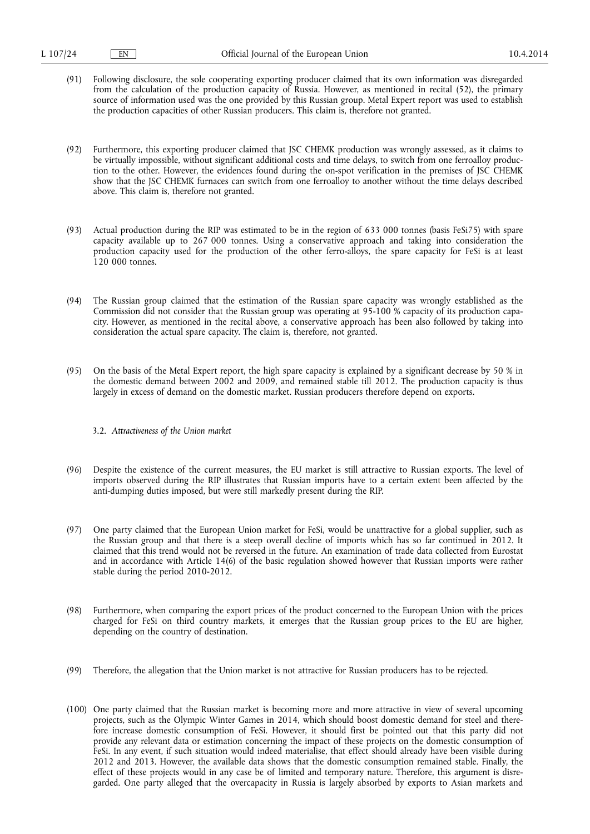- (91) Following disclosure, the sole cooperating exporting producer claimed that its own information was disregarded from the calculation of the production capacity of Russia. However, as mentioned in recital (52), the primary source of information used was the one provided by this Russian group. Metal Expert report was used to establish the production capacities of other Russian producers. This claim is, therefore not granted.
- (92) Furthermore, this exporting producer claimed that JSC CHEMK production was wrongly assessed, as it claims to be virtually impossible, without significant additional costs and time delays, to switch from one ferroalloy production to the other. However, the evidences found during the on-spot verification in the premises of JSC CHEMK show that the JSC CHEMK furnaces can switch from one ferroalloy to another without the time delays described above. This claim is, therefore not granted.
- (93) Actual production during the RIP was estimated to be in the region of 633 000 tonnes (basis FeSi75) with spare capacity available up to 267 000 tonnes. Using a conservative approach and taking into consideration the production capacity used for the production of the other ferro-alloys, the spare capacity for FeSi is at least 120 000 tonnes.
- (94) The Russian group claimed that the estimation of the Russian spare capacity was wrongly established as the Commission did not consider that the Russian group was operating at 95-100 % capacity of its production capacity. However, as mentioned in the recital above, a conservative approach has been also followed by taking into consideration the actual spare capacity. The claim is, therefore, not granted.
- (95) On the basis of the Metal Expert report, the high spare capacity is explained by a significant decrease by 50 % in the domestic demand between 2002 and 2009, and remained stable till 2012. The production capacity is thus largely in excess of demand on the domestic market. Russian producers therefore depend on exports.

#### 3.2. *Attractiveness of the Union market*

- (96) Despite the existence of the current measures, the EU market is still attractive to Russian exports. The level of imports observed during the RIP illustrates that Russian imports have to a certain extent been affected by the anti-dumping duties imposed, but were still markedly present during the RIP.
- (97) One party claimed that the European Union market for FeSi, would be unattractive for a global supplier, such as the Russian group and that there is a steep overall decline of imports which has so far continued in 2012. It claimed that this trend would not be reversed in the future. An examination of trade data collected from Eurostat and in accordance with Article 14(6) of the basic regulation showed however that Russian imports were rather stable during the period 2010-2012.
- (98) Furthermore, when comparing the export prices of the product concerned to the European Union with the prices charged for FeSi on third country markets, it emerges that the Russian group prices to the EU are higher, depending on the country of destination.
- (99) Therefore, the allegation that the Union market is not attractive for Russian producers has to be rejected.
- (100) One party claimed that the Russian market is becoming more and more attractive in view of several upcoming projects, such as the Olympic Winter Games in 2014, which should boost domestic demand for steel and therefore increase domestic consumption of FeSi. However, it should first be pointed out that this party did not provide any relevant data or estimation concerning the impact of these projects on the domestic consumption of FeSi. In any event, if such situation would indeed materialise, that effect should already have been visible during 2012 and 2013. However, the available data shows that the domestic consumption remained stable. Finally, the effect of these projects would in any case be of limited and temporary nature. Therefore, this argument is disregarded. One party alleged that the overcapacity in Russia is largely absorbed by exports to Asian markets and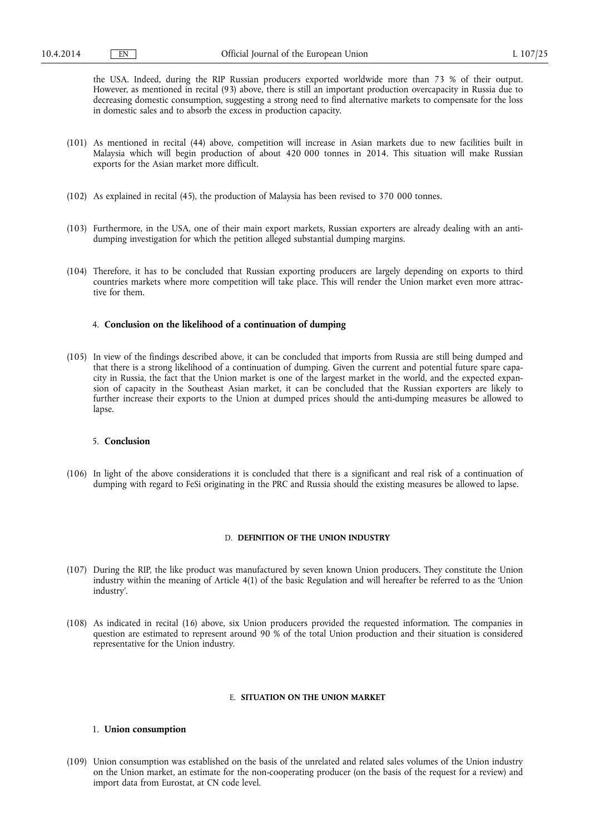the USA. Indeed, during the RIP Russian producers exported worldwide more than 73 % of their output. However, as mentioned in recital (93) above, there is still an important production overcapacity in Russia due to decreasing domestic consumption, suggesting a strong need to find alternative markets to compensate for the loss in domestic sales and to absorb the excess in production capacity.

- (101) As mentioned in recital (44) above, competition will increase in Asian markets due to new facilities built in Malaysia which will begin production of about 420 000 tonnes in 2014. This situation will make Russian exports for the Asian market more difficult.
- (102) As explained in recital (45), the production of Malaysia has been revised to 370 000 tonnes.
- (103) Furthermore, in the USA, one of their main export markets, Russian exporters are already dealing with an antidumping investigation for which the petition alleged substantial dumping margins.
- (104) Therefore, it has to be concluded that Russian exporting producers are largely depending on exports to third countries markets where more competition will take place. This will render the Union market even more attractive for them.

## 4. **Conclusion on the likelihood of a continuation of dumping**

(105) In view of the findings described above, it can be concluded that imports from Russia are still being dumped and that there is a strong likelihood of a continuation of dumping. Given the current and potential future spare capacity in Russia, the fact that the Union market is one of the largest market in the world, and the expected expansion of capacity in the Southeast Asian market, it can be concluded that the Russian exporters are likely to further increase their exports to the Union at dumped prices should the anti-dumping measures be allowed to lapse.

## 5. **Conclusion**

(106) In light of the above considerations it is concluded that there is a significant and real risk of a continuation of dumping with regard to FeSi originating in the PRC and Russia should the existing measures be allowed to lapse.

# D. **DEFINITION OF THE UNION INDUSTRY**

- (107) During the RIP, the like product was manufactured by seven known Union producers. They constitute the Union industry within the meaning of Article 4(1) of the basic Regulation and will hereafter be referred to as the 'Union industry'.
- (108) As indicated in recital (16) above, six Union producers provided the requested information. The companies in question are estimated to represent around 90 % of the total Union production and their situation is considered representative for the Union industry.

## E. **SITUATION ON THE UNION MARKET**

#### 1. **Union consumption**

(109) Union consumption was established on the basis of the unrelated and related sales volumes of the Union industry on the Union market, an estimate for the non-cooperating producer (on the basis of the request for a review) and import data from Eurostat, at CN code level.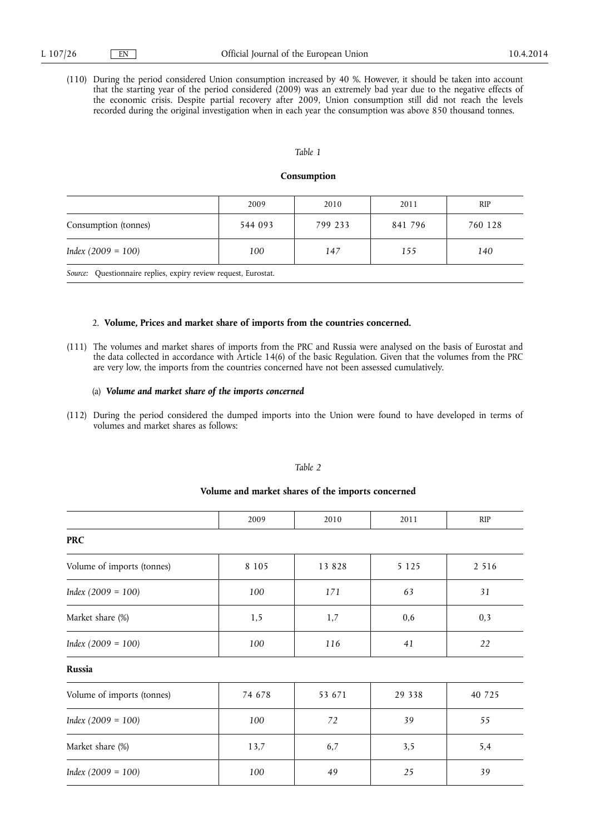(110) During the period considered Union consumption increased by 40 %. However, it should be taken into account that the starting year of the period considered (2009) was an extremely bad year due to the negative effects of the economic crisis. Despite partial recovery after 2009, Union consumption still did not reach the levels recorded during the original investigation when in each year the consumption was above 850 thousand tonnes.

#### *Table 1*

#### **Consumption**

|                      | 2009    | 2010    | 2011    | <b>RIP</b> |
|----------------------|---------|---------|---------|------------|
| Consumption (tonnes) | 544 093 | 799 233 | 841 796 | 760 128    |
| $Index (2009 = 100)$ | 100     | 147     | 155     | 140        |

*Source:* Questionnaire replies, expiry review request, Eurostat.

# 2. **Volume, Prices and market share of imports from the countries concerned.**

(111) The volumes and market shares of imports from the PRC and Russia were analysed on the basis of Eurostat and the data collected in accordance with Article 14(6) of the basic Regulation. Given that the volumes from the PRC are very low, the imports from the countries concerned have not been assessed cumulatively.

### (a) *Volume and market share of the imports concerned*

(112) During the period considered the dumped imports into the Union were found to have developed in terms of volumes and market shares as follows:

# *Table 2*

# **Volume and market shares of the imports concerned**

|                            | 2009    | 2010    | 2011    | <b>RIP</b> |
|----------------------------|---------|---------|---------|------------|
| <b>PRC</b>                 |         |         |         |            |
| Volume of imports (tonnes) | 8 1 0 5 | 13 8 28 | 5 1 2 5 | 2 5 1 6    |
| $Index (2009 = 100)$       | 100     | 171     | 63      | 31         |
| Market share (%)           | 1,5     | 1,7     | 0,6     | 0,3        |
| $Index (2009 = 100)$       | 100     | 116     | 41      | 22         |
| Russia                     |         |         |         |            |
| Volume of imports (tonnes) | 74 678  | 53 671  | 29 338  | 40 725     |
| $Index (2009 = 100)$       | 100     | 72      | 39      | 55         |
| Market share (%)           | 13,7    | 6,7     | 3,5     | 5,4        |
| $Index (2009 = 100)$       | 100     | 49      | 25      | 39         |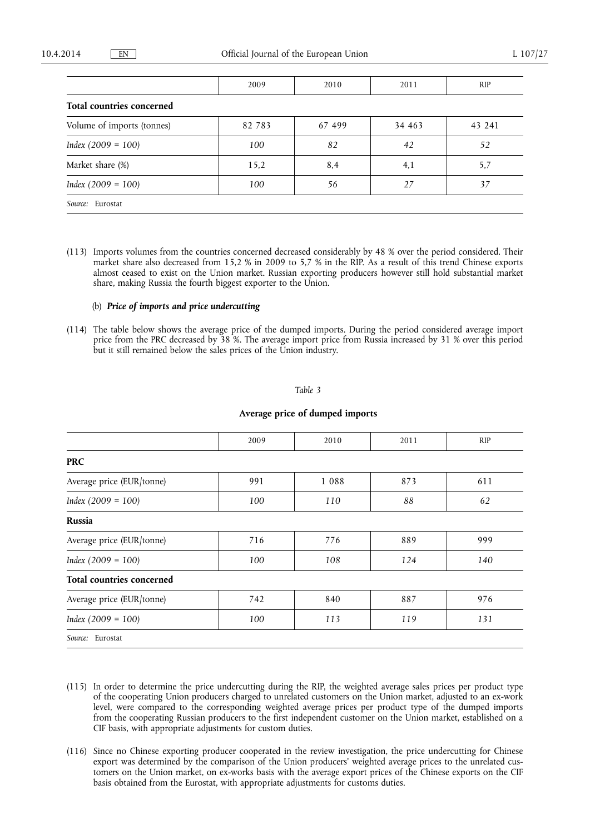|                            | 2009   | 2010   | 2011   | <b>RIP</b> |  |
|----------------------------|--------|--------|--------|------------|--|
| Total countries concerned  |        |        |        |            |  |
| Volume of imports (tonnes) | 82 783 | 67 499 | 34 463 | 43 241     |  |
| $Index (2009 = 100)$       | 100    | 82     | 42     | 52         |  |
| Market share (%)           | 15,2   | 8,4    | 4,1    | 5,7        |  |
| $Index (2009 = 100)$       | 100    | 56     | 27     | 37         |  |
| Source: Eurostat           |        |        |        |            |  |

(113) Imports volumes from the countries concerned decreased considerably by 48 % over the period considered. Their market share also decreased from 15,2 % in 2009 to 5,7 % in the RIP. As a result of this trend Chinese exports almost ceased to exist on the Union market. Russian exporting producers however still hold substantial market share, making Russia the fourth biggest exporter to the Union.

# (b) *Price of imports and price undercutting*

(114) The table below shows the average price of the dumped imports. During the period considered average import price from the PRC decreased by 38 %. The average import price from Russia increased by 31 % over this period but it still remained below the sales prices of the Union industry.

## *Table 3*

# **Average price of dumped imports**

|                                  | 2009 | 2010    | 2011 | <b>RIP</b> |
|----------------------------------|------|---------|------|------------|
| <b>PRC</b>                       |      |         |      |            |
| Average price (EUR/tonne)        | 991  | 1 0 8 8 | 873  | 611        |
| $Index (2009 = 100)$             | 100  | 110     | 88   | 62         |
| Russia                           |      |         |      |            |
| Average price (EUR/tonne)        | 716  | 776     | 889  | 999        |
| $Index (2009 = 100)$             | 100  | 108     | 124  | 140        |
| <b>Total countries concerned</b> |      |         |      |            |
| Average price (EUR/tonne)        | 742  | 840     | 887  | 976        |
| $Index (2009 = 100)$             | 100  | 113     | 119  | 131        |
| Source: Eurostat                 |      |         |      |            |

- (115) In order to determine the price undercutting during the RIP, the weighted average sales prices per product type of the cooperating Union producers charged to unrelated customers on the Union market, adjusted to an ex-work level, were compared to the corresponding weighted average prices per product type of the dumped imports from the cooperating Russian producers to the first independent customer on the Union market, established on a CIF basis, with appropriate adjustments for custom duties.
- (116) Since no Chinese exporting producer cooperated in the review investigation, the price undercutting for Chinese export was determined by the comparison of the Union producers' weighted average prices to the unrelated customers on the Union market, on ex-works basis with the average export prices of the Chinese exports on the CIF basis obtained from the Eurostat, with appropriate adjustments for customs duties.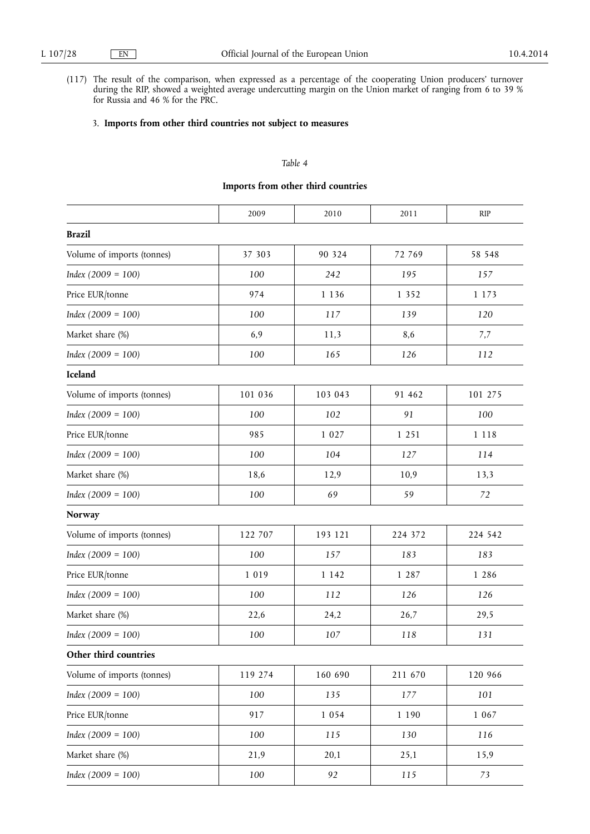(117) The result of the comparison, when expressed as a percentage of the cooperating Union producers' turnover during the RIP, showed a weighted average undercutting margin on the Union market of ranging from 6 to 39 % for Russia and 46 % for the PRC.

# 3. **Imports from other third countries not subject to measures**

# *Table 4*

# **Imports from other third countries**

|                            | 2009    | 2010    | 2011    | <b>RIP</b> |
|----------------------------|---------|---------|---------|------------|
| <b>Brazil</b>              |         |         |         |            |
| Volume of imports (tonnes) | 37 303  | 90 324  | 72 769  | 58 548     |
| $Index (2009 = 100)$       | 100     | 242     | 195     | 157        |
| Price EUR/tonne            | 974     | 1 1 3 6 | 1 3 5 2 | 1 1 7 3    |
| $Index (2009 = 100)$       | 100     | 117     | 139     | 120        |
| Market share (%)           | 6,9     | 11,3    | 8,6     | 7,7        |
| $Index (2009 = 100)$       | 100     | 165     | 126     | 112        |
| Iceland                    |         |         |         |            |
| Volume of imports (tonnes) | 101 036 | 103 043 | 91 462  | 101 275    |
| $Index (2009 = 100)$       | 100     | 102     | 91      | 100        |
| Price EUR/tonne            | 985     | 1 0 2 7 | 1 2 5 1 | 1 1 1 8    |
| $Index (2009 = 100)$       | 100     | 104     | 127     | 114        |
| Market share (%)           | 18,6    | 12,9    | 10,9    | 13,3       |
| $Index (2009 = 100)$       | 100     | 69      | 59      | 72         |
| <b>Norway</b>              |         |         |         |            |
| Volume of imports (tonnes) | 122 707 | 193 121 | 224 372 | 224 542    |
| $Index (2009 = 100)$       | 100     | 157     | 183     | 183        |
| Price EUR/tonne            | 1 0 1 9 | 1 1 4 2 | 1 287   | 1 286      |
| $Index (2009 = 100)$       | 100     | 112     | 126     | 126        |
| Market share (%)           | 22,6    | 24,2    | 26,7    | 29,5       |
| $Index (2009 = 100)$       | 100     | 107     | 118     | 131        |
| Other third countries      |         |         |         |            |
| Volume of imports (tonnes) | 119 274 | 160 690 | 211 670 | 120 966    |
| $Index (2009 = 100)$       | 100     | 135     | 177     | 101        |
| Price EUR/tonne            | 917     | 1 0 5 4 | 1 1 9 0 | 1 0 6 7    |
| $Index (2009 = 100)$       | 100     | 115     | 130     | 116        |
| Market share (%)           | 21,9    | 20,1    | 25,1    | 15,9       |
| $Index (2009 = 100)$       | 100     | 92      | 115     | 73         |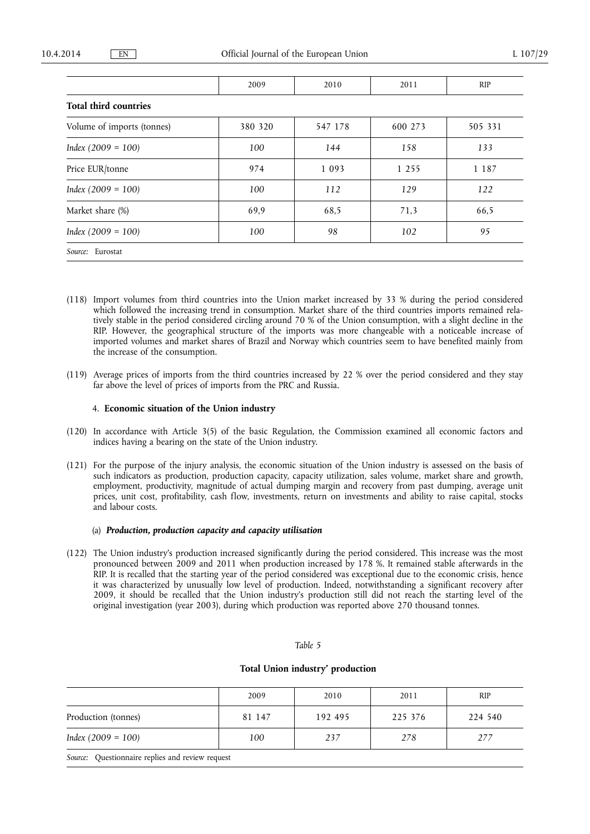|                              | 2009    | 2010    | 2011    | <b>RIP</b> |
|------------------------------|---------|---------|---------|------------|
| <b>Total third countries</b> |         |         |         |            |
| Volume of imports (tonnes)   | 380 320 | 547 178 | 600 273 | 505 331    |
| $Index (2009 = 100)$         | 100     | 144     | 158     | 133        |
| Price EUR/tonne              | 974     | 1 0 9 3 | 1 2 5 5 | 1 1 8 7    |
| $Index (2009 = 100)$         | 100     | 112     | 129     | 122        |
| Market share (%)             | 69,9    | 68,5    | 71,3    | 66,5       |
| $Index (2009 = 100)$         | 100     | 98      | 102     | 95         |
| Source: Eurostat             |         |         |         |            |

- (118) Import volumes from third countries into the Union market increased by 33 % during the period considered which followed the increasing trend in consumption. Market share of the third countries imports remained relatively stable in the period considered circling around 70 % of the Union consumption, with a slight decline in the RIP. However, the geographical structure of the imports was more changeable with a noticeable increase of imported volumes and market shares of Brazil and Norway which countries seem to have benefited mainly from the increase of the consumption.
- (119) Average prices of imports from the third countries increased by 22 % over the period considered and they stay far above the level of prices of imports from the PRC and Russia.

## 4. **Economic situation of the Union industry**

- (120) In accordance with Article 3(5) of the basic Regulation, the Commission examined all economic factors and indices having a bearing on the state of the Union industry.
- (121) For the purpose of the injury analysis, the economic situation of the Union industry is assessed on the basis of such indicators as production, production capacity, capacity utilization, sales volume, market share and growth, employment, productivity, magnitude of actual dumping margin and recovery from past dumping, average unit prices, unit cost, profitability, cash flow, investments, return on investments and ability to raise capital, stocks and labour costs.

## (a) *Production, production capacity and capacity utilisation*

(122) The Union industry's production increased significantly during the period considered. This increase was the most pronounced between 2009 and 2011 when production increased by 178 %. It remained stable afterwards in the RIP. It is recalled that the starting year of the period considered was exceptional due to the economic crisis, hence it was characterized by unusually low level of production. Indeed, notwithstanding a significant recovery after 2009, it should be recalled that the Union industry's production still did not reach the starting level of the original investigation (year 2003), during which production was reported above 270 thousand tonnes.

#### *Table 5*

# **Total Union industry' production**

|                      | 2009   | 2010    | 2011    | <b>RIP</b> |
|----------------------|--------|---------|---------|------------|
| Production (tonnes)  | 81 147 | 192 495 | 225 376 | 224 540    |
| $Index (2009 = 100)$ | 100    | 237     | 278     | 277        |

*Source:* Questionnaire replies and review request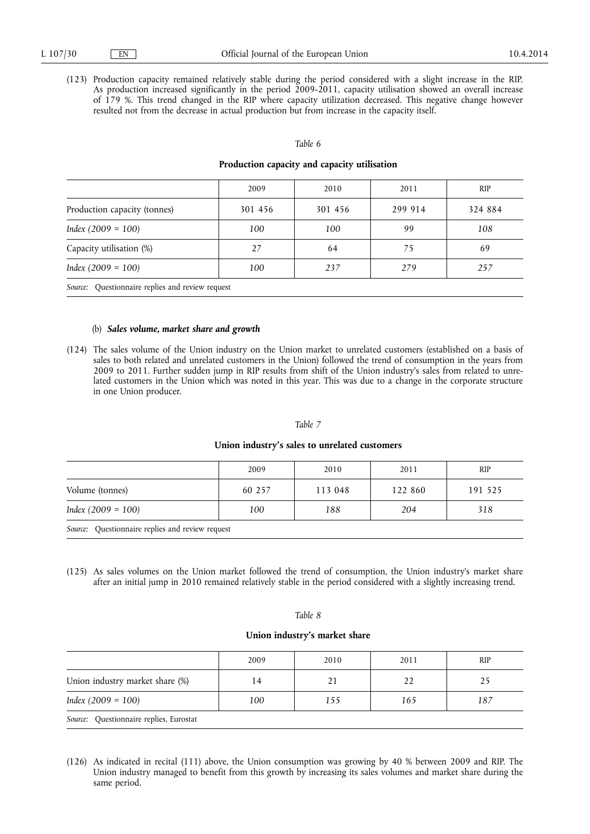(123) Production capacity remained relatively stable during the period considered with a slight increase in the RIP. As production increased significantly in the period 2009-2011, capacity utilisation showed an overall increase of 179 %. This trend changed in the RIP where capacity utilization decreased. This negative change however resulted not from the decrease in actual production but from increase in the capacity itself.

#### *Table 6*

#### **Production capacity and capacity utilisation**

|                                                  | 2009    | 2010    | 2011    | <b>RIP</b> |
|--------------------------------------------------|---------|---------|---------|------------|
| Production capacity (tonnes)                     | 301 456 | 301 456 | 299 914 | 324 884    |
| $Index (2009 = 100)$                             | 100     | 100     | 99      | 108        |
| Capacity utilisation (%)                         | 27      | 64      | 75      | 69         |
| $Index (2009 = 100)$                             | 100     | 237     | 279     | 257        |
| Source: Questionnaire replies and review request |         |         |         |            |

# (b) *Sales volume, market share and growth*

(124) The sales volume of the Union industry on the Union market to unrelated customers (established on a basis of sales to both related and unrelated customers in the Union) followed the trend of consumption in the years from 2009 to 2011. Further sudden jump in RIP results from shift of the Union industry's sales from related to unrelated customers in the Union which was noted in this year. This was due to a change in the corporate structure in one Union producer.

#### *Table 7*

## **Union industry's sales to unrelated customers**

|                                                  | 2009   | 2010    | 2011    | <b>RIP</b> |
|--------------------------------------------------|--------|---------|---------|------------|
| Volume (tonnes)                                  | 60 257 | 113 048 | 122 860 | 191 525    |
| $Index (2009 = 100)$                             | 100    | 188     | 204     | 318        |
| Source: Questionnaire replies and review request |        |         |         |            |

(125) As sales volumes on the Union market followed the trend of consumption, the Union industry's market share after an initial jump in 2010 remained relatively stable in the period considered with a slightly increasing trend.

# *Table 8*

## **Union industry's market share**

|                                         | 2009 | 2010 | 2011 | <b>RIP</b> |
|-----------------------------------------|------|------|------|------------|
| Union industry market share (%)         | 14   | 21   | 22   | 25         |
| $Index (2009 = 100)$                    | 100  | 155  | 165  | 187        |
| Source: Questionnaire replies, Eurostat |      |      |      |            |

(126) As indicated in recital (111) above, the Union consumption was growing by 40 % between 2009 and RIP. The Union industry managed to benefit from this growth by increasing its sales volumes and market share during the same period.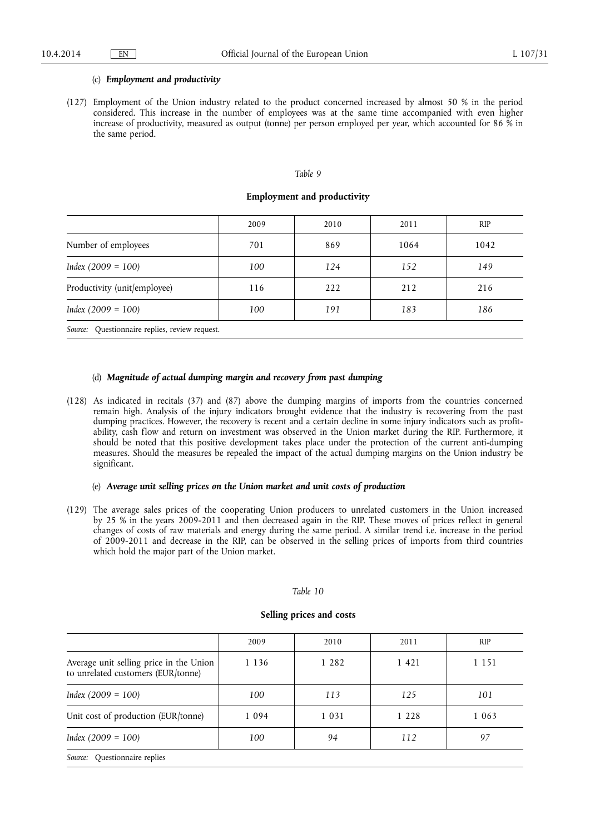### (c) *Employment and productivity*

(127) Employment of the Union industry related to the product concerned increased by almost 50 % in the period considered. This increase in the number of employees was at the same time accompanied with even higher increase of productivity, measured as output (tonne) per person employed per year, which accounted for 86 % in the same period.

# *Table 9*

## **Employment and productivity**

|                              | 2009 | 2010 | 2011 | <b>RIP</b> |
|------------------------------|------|------|------|------------|
| Number of employees          | 701  | 869  | 1064 | 1042       |
| $Index (2009 = 100)$         | 100  | 124  | 152  | 149        |
| Productivity (unit/employee) | 116  | 222  | 212  | 216        |
| $Index (2009 = 100)$         | 100  | 191  | 183  | 186        |
|                              |      |      |      |            |

*Source:* Questionnaire replies, review request.

# (d) *Magnitude of actual dumping margin and recovery from past dumping*

(128) As indicated in recitals (37) and (87) above the dumping margins of imports from the countries concerned remain high. Analysis of the injury indicators brought evidence that the industry is recovering from the past dumping practices. However, the recovery is recent and a certain decline in some injury indicators such as profitability, cash flow and return on investment was observed in the Union market during the RIP. Furthermore, it should be noted that this positive development takes place under the protection of the current anti-dumping measures. Should the measures be repealed the impact of the actual dumping margins on the Union industry be significant.

## (e) *Average unit selling prices on the Union market and unit costs of production*

(129) The average sales prices of the cooperating Union producers to unrelated customers in the Union increased by 25 % in the years 2009-2011 and then decreased again in the RIP. These moves of prices reflect in general changes of costs of raw materials and energy during the same period. A similar trend i.e. increase in the period of 2009-2011 and decrease in the RIP, can be observed in the selling prices of imports from third countries which hold the major part of the Union market.

#### *Table 10*

## **Selling prices and costs**

|                                                                               | 2009    | 2010    | 2011    | <b>RIP</b> |
|-------------------------------------------------------------------------------|---------|---------|---------|------------|
| Average unit selling price in the Union<br>to unrelated customers (EUR/tonne) | 1 1 3 6 | 1 2 8 2 | 1 4 2 1 | 1 1 5 1    |
| $Index (2009 = 100)$                                                          | 100     | 113     | 125     | 101        |
| Unit cost of production (EUR/tonne)                                           | 1 0 9 4 | 1 0 3 1 | 1 2 2 8 | 1 0 6 3    |
| $Index (2009 = 100)$                                                          | 100     | 94      | 112     | 97         |
| Source: Questionnaire replies                                                 |         |         |         |            |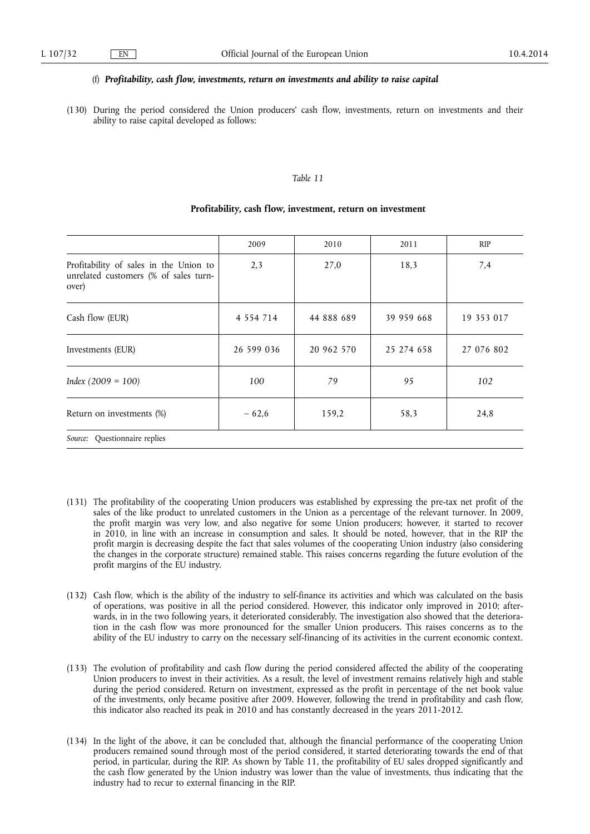#### (f) *Profitability, cash flow, investments, return on investments and ability to raise capital*

(130) During the period considered the Union producers' cash flow, investments, return on investments and their ability to raise capital developed as follows:

## *Table 11*

|                                                                                          | 2009          | 2010       | 2011       | RIP        |
|------------------------------------------------------------------------------------------|---------------|------------|------------|------------|
| Profitability of sales in the Union to<br>unrelated customers (% of sales turn-<br>over) | 2,3           | 27,0       | 18,3       | 7.4        |
| Cash flow (EUR)                                                                          | 4 5 5 4 7 1 4 | 44 888 689 | 39 959 668 | 19 353 017 |
| Investments (EUR)                                                                        | 26 599 036    | 20 962 570 | 25 274 658 | 27 076 802 |
| $Index (2009 = 100)$                                                                     | 100           | 79         | 95         | 102        |
| Return on investments (%)                                                                | $-62,6$       | 159,2      | 58,3       | 24,8       |
| Questionnaire replies<br>Source:                                                         |               |            |            |            |

#### **Profitability, cash flow, investment, return on investment**

- (131) The profitability of the cooperating Union producers was established by expressing the pre-tax net profit of the sales of the like product to unrelated customers in the Union as a percentage of the relevant turnover. In 2009, the profit margin was very low, and also negative for some Union producers; however, it started to recover in 2010, in line with an increase in consumption and sales. It should be noted, however, that in the RIP the profit margin is decreasing despite the fact that sales volumes of the cooperating Union industry (also considering the changes in the corporate structure) remained stable. This raises concerns regarding the future evolution of the profit margins of the EU industry.
- (132) Cash flow, which is the ability of the industry to self-finance its activities and which was calculated on the basis of operations, was positive in all the period considered. However, this indicator only improved in 2010; afterwards, in in the two following years, it deteriorated considerably. The investigation also showed that the deterioration in the cash flow was more pronounced for the smaller Union producers. This raises concerns as to the ability of the EU industry to carry on the necessary self-financing of its activities in the current economic context.
- (133) The evolution of profitability and cash flow during the period considered affected the ability of the cooperating Union producers to invest in their activities. As a result, the level of investment remains relatively high and stable during the period considered. Return on investment, expressed as the profit in percentage of the net book value of the investments, only became positive after 2009. However, following the trend in profitability and cash flow, this indicator also reached its peak in 2010 and has constantly decreased in the years 2011-2012.
- (134) In the light of the above, it can be concluded that, although the financial performance of the cooperating Union producers remained sound through most of the period considered, it started deteriorating towards the end of that period, in particular, during the RIP. As shown by Table 11, the profitability of EU sales dropped significantly and the cash flow generated by the Union industry was lower than the value of investments, thus indicating that the industry had to recur to external financing in the RIP.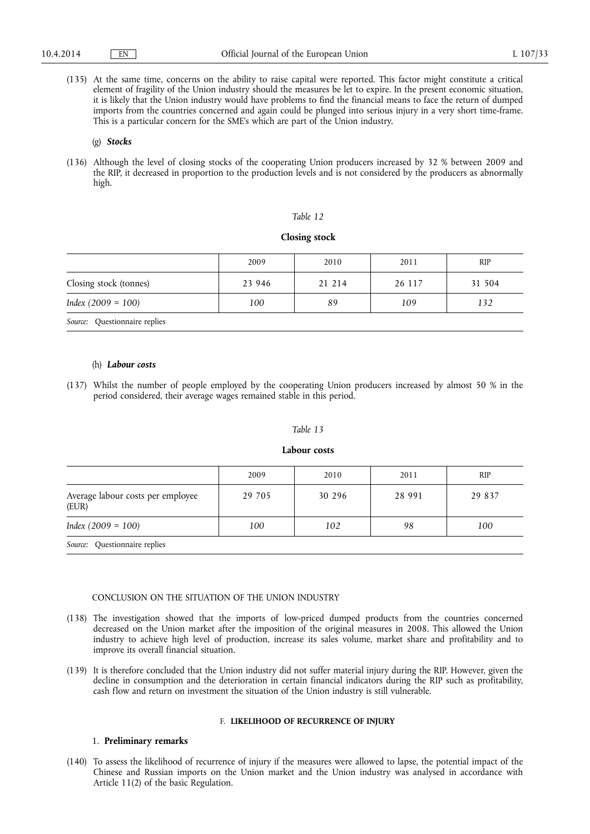(135) At the same time, concerns on the ability to raise capital were reported. This factor might constitute a critical element of fragility of the Union industry should the measures be let to expire. In the present economic situation, it is likely that the Union industry would have problems to find the financial means to face the return of dumped imports from the countries concerned and again could be plunged into serious injury in a very short time-frame. This is a particular concern for the SME's which are part of the Union industry.

#### (g) *Stocks*

(136) Although the level of closing stocks of the cooperating Union producers increased by 32 % between 2009 and the RIP, it decreased in proportion to the production levels and is not considered by the producers as abnormally high.

#### *Table 12*

#### **Closing stock**

|                               | 2009   | 2010   | 2011   | <b>RIP</b> |
|-------------------------------|--------|--------|--------|------------|
| Closing stock (tonnes)        | 23 946 | 21 214 | 26 117 | 31 504     |
| $Index (2009 = 100)$          | 100    | 89     | 109    | 132        |
| Source: Questionnaire replies |        |        |        |            |

#### (h) *Labour costs*

(137) Whilst the number of people employed by the cooperating Union producers increased by almost 50 % in the period considered, their average wages remained stable in this period.

#### *Table 13*

#### **Labour costs**

|                                            | 2009   | 2010   | 2011   | <b>RIP</b> |
|--------------------------------------------|--------|--------|--------|------------|
| Average labour costs per employee<br>(EUR) | 29 705 | 30 296 | 28 991 | 29 837     |
| $Index (2009 = 100)$                       | 100    | 102    | 98     | 100        |
|                                            |        |        |        |            |

*Source:* Questionnaire replies

#### CONCLUSION ON THE SITUATION OF THE UNION INDUSTRY

- (138) The investigation showed that the imports of low-priced dumped products from the countries concerned decreased on the Union market after the imposition of the original measures in 2008. This allowed the Union industry to achieve high level of production, increase its sales volume, market share and profitability and to improve its overall financial situation.
- (139) It is therefore concluded that the Union industry did not suffer material injury during the RIP. However, given the decline in consumption and the deterioration in certain financial indicators during the RIP such as profitability, cash flow and return on investment the situation of the Union industry is still vulnerable.

## F. **LIKELIHOOD OF RECURRENCE OF INJURY**

## 1. **Preliminary remarks**

(140) To assess the likelihood of recurrence of injury if the measures were allowed to lapse, the potential impact of the Chinese and Russian imports on the Union market and the Union industry was analysed in accordance with Article 11(2) of the basic Regulation.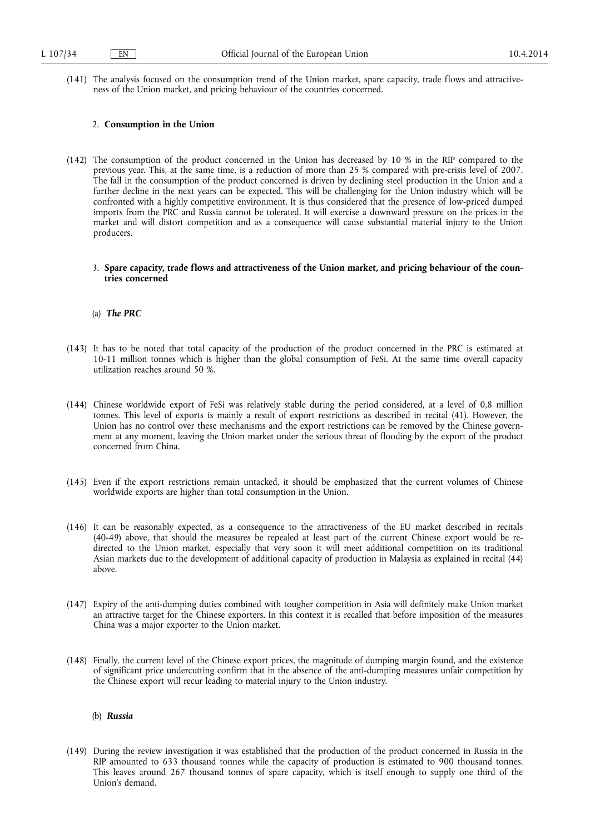(141) The analysis focused on the consumption trend of the Union market, spare capacity, trade flows and attractiveness of the Union market, and pricing behaviour of the countries concerned.

#### 2. **Consumption in the Union**

- (142) The consumption of the product concerned in the Union has decreased by 10 % in the RIP compared to the previous year. This, at the same time, is a reduction of more than 25 % compared with pre-crisis level of 2007. The fall in the consumption of the product concerned is driven by declining steel production in the Union and a further decline in the next years can be expected. This will be challenging for the Union industry which will be confronted with a highly competitive environment. It is thus considered that the presence of low-priced dumped imports from the PRC and Russia cannot be tolerated. It will exercise a downward pressure on the prices in the market and will distort competition and as a consequence will cause substantial material injury to the Union producers.
	- 3. **Spare capacity, trade flows and attractiveness of the Union market, and pricing behaviour of the countries concerned**

#### (a) *The PRC*

- (143) It has to be noted that total capacity of the production of the product concerned in the PRC is estimated at 10-11 million tonnes which is higher than the global consumption of FeSi. At the same time overall capacity utilization reaches around 50 %.
- (144) Chinese worldwide export of FeSi was relatively stable during the period considered, at a level of 0,8 million tonnes. This level of exports is mainly a result of export restrictions as described in recital (41). However, the Union has no control over these mechanisms and the export restrictions can be removed by the Chinese government at any moment, leaving the Union market under the serious threat of flooding by the export of the product concerned from China.
- (145) Even if the export restrictions remain untacked, it should be emphasized that the current volumes of Chinese worldwide exports are higher than total consumption in the Union.
- (146) It can be reasonably expected, as a consequence to the attractiveness of the EU market described in recitals (40-49) above, that should the measures be repealed at least part of the current Chinese export would be redirected to the Union market, especially that very soon it will meet additional competition on its traditional Asian markets due to the development of additional capacity of production in Malaysia as explained in recital (44) above.
- (147) Expiry of the anti-dumping duties combined with tougher competition in Asia will definitely make Union market an attractive target for the Chinese exporters. In this context it is recalled that before imposition of the measures China was a major exporter to the Union market.
- (148) Finally, the current level of the Chinese export prices, the magnitude of dumping margin found, and the existence of significant price undercutting confirm that in the absence of the anti-dumping measures unfair competition by the Chinese export will recur leading to material injury to the Union industry.

#### (b) *Russia*

(149) During the review investigation it was established that the production of the product concerned in Russia in the RIP amounted to 633 thousand tonnes while the capacity of production is estimated to 900 thousand tonnes. This leaves around 267 thousand tonnes of spare capacity, which is itself enough to supply one third of the Union's demand.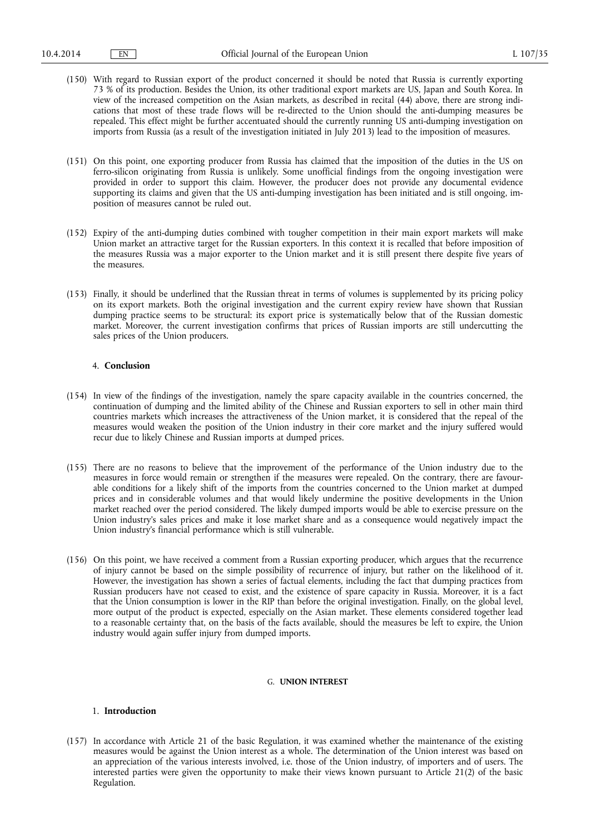- (150) With regard to Russian export of the product concerned it should be noted that Russia is currently exporting 73 % of its production. Besides the Union, its other traditional export markets are US, Japan and South Korea. In view of the increased competition on the Asian markets, as described in recital (44) above, there are strong indications that most of these trade flows will be re-directed to the Union should the anti-dumping measures be repealed. This effect might be further accentuated should the currently running US anti-dumping investigation on imports from Russia (as a result of the investigation initiated in July 2013) lead to the imposition of measures.
- (151) On this point, one exporting producer from Russia has claimed that the imposition of the duties in the US on ferro-silicon originating from Russia is unlikely. Some unofficial findings from the ongoing investigation were provided in order to support this claim. However, the producer does not provide any documental evidence supporting its claims and given that the US anti-dumping investigation has been initiated and is still ongoing, imposition of measures cannot be ruled out.
- (152) Expiry of the anti-dumping duties combined with tougher competition in their main export markets will make Union market an attractive target for the Russian exporters. In this context it is recalled that before imposition of the measures Russia was a major exporter to the Union market and it is still present there despite five years of the measures.
- (153) Finally, it should be underlined that the Russian threat in terms of volumes is supplemented by its pricing policy on its export markets. Both the original investigation and the current expiry review have shown that Russian dumping practice seems to be structural: its export price is systematically below that of the Russian domestic market. Moreover, the current investigation confirms that prices of Russian imports are still undercutting the sales prices of the Union producers.

## 4. **Conclusion**

- (154) In view of the findings of the investigation, namely the spare capacity available in the countries concerned, the continuation of dumping and the limited ability of the Chinese and Russian exporters to sell in other main third countries markets which increases the attractiveness of the Union market, it is considered that the repeal of the measures would weaken the position of the Union industry in their core market and the injury suffered would recur due to likely Chinese and Russian imports at dumped prices.
- (155) There are no reasons to believe that the improvement of the performance of the Union industry due to the measures in force would remain or strengthen if the measures were repealed. On the contrary, there are favourable conditions for a likely shift of the imports from the countries concerned to the Union market at dumped prices and in considerable volumes and that would likely undermine the positive developments in the Union market reached over the period considered. The likely dumped imports would be able to exercise pressure on the Union industry's sales prices and make it lose market share and as a consequence would negatively impact the Union industry's financial performance which is still vulnerable.
- (156) On this point, we have received a comment from a Russian exporting producer, which argues that the recurrence of injury cannot be based on the simple possibility of recurrence of injury, but rather on the likelihood of it. However, the investigation has shown a series of factual elements, including the fact that dumping practices from Russian producers have not ceased to exist, and the existence of spare capacity in Russia. Moreover, it is a fact that the Union consumption is lower in the RIP than before the original investigation. Finally, on the global level, more output of the product is expected, especially on the Asian market. These elements considered together lead to a reasonable certainty that, on the basis of the facts available, should the measures be left to expire, the Union industry would again suffer injury from dumped imports.

# G. **UNION INTEREST**

## 1. **Introduction**

(157) In accordance with Article 21 of the basic Regulation, it was examined whether the maintenance of the existing measures would be against the Union interest as a whole. The determination of the Union interest was based on an appreciation of the various interests involved, i.e. those of the Union industry, of importers and of users. The interested parties were given the opportunity to make their views known pursuant to Article 21(2) of the basic Regulation.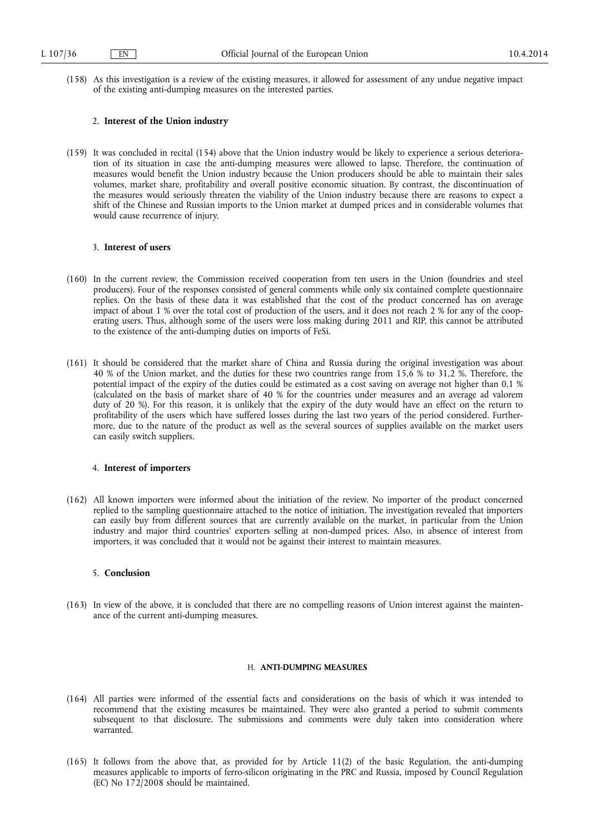(158) As this investigation is a review of the existing measures, it allowed for assessment of any undue negative impact of the existing anti-dumping measures on the interested parties.

#### 2. **Interest of the Union industry**

(159) It was concluded in recital (154) above that the Union industry would be likely to experience a serious deterioration of its situation in case the anti-dumping measures were allowed to lapse. Therefore, the continuation of measures would benefit the Union industry because the Union producers should be able to maintain their sales volumes, market share, profitability and overall positive economic situation. By contrast, the discontinuation of the measures would seriously threaten the viability of the Union industry because there are reasons to expect a shift of the Chinese and Russian imports to the Union market at dumped prices and in considerable volumes that would cause recurrence of injury.

## 3. **Interest of users**

- (160) In the current review, the Commission received cooperation from ten users in the Union (foundries and steel producers). Four of the responses consisted of general comments while only six contained complete questionnaire replies. On the basis of these data it was established that the cost of the product concerned has on average impact of about 1 % over the total cost of production of the users, and it does not reach 2 % for any of the cooperating users. Thus, although some of the users were loss making during 2011 and RIP, this cannot be attributed to the existence of the anti-dumping duties on imports of FeSi.
- (161) It should be considered that the market share of China and Russia during the original investigation was about 40 % of the Union market, and the duties for these two countries range from 15,6 % to 31,2 %. Therefore, the potential impact of the expiry of the duties could be estimated as a cost saving on average not higher than 0,1 % (calculated on the basis of market share of 40 % for the countries under measures and an average ad valorem duty of 20 %). For this reason, it is unlikely that the expiry of the duty would have an effect on the return to profitability of the users which have suffered losses during the last two years of the period considered. Furthermore, due to the nature of the product as well as the several sources of supplies available on the market users can easily switch suppliers.

# 4. **Interest of importers**

(162) All known importers were informed about the initiation of the review. No importer of the product concerned replied to the sampling questionnaire attached to the notice of initiation. The investigation revealed that importers can easily buy from different sources that are currently available on the market, in particular from the Union industry and major third countries' exporters selling at non-dumped prices. Also, in absence of interest from importers, it was concluded that it would not be against their interest to maintain measures.

# 5. **Conclusion**

(163) In view of the above, it is concluded that there are no compelling reasons of Union interest against the maintenance of the current anti-dumping measures.

# H. **ANTI-DUMPING MEASURES**

- (164) All parties were informed of the essential facts and considerations on the basis of which it was intended to recommend that the existing measures be maintained. They were also granted a period to submit comments subsequent to that disclosure. The submissions and comments were duly taken into consideration where warranted.
- (165) It follows from the above that, as provided for by Article 11(2) of the basic Regulation, the anti-dumping measures applicable to imports of ferro-silicon originating in the PRC and Russia, imposed by Council Regulation (EC) No 172/2008 should be maintained.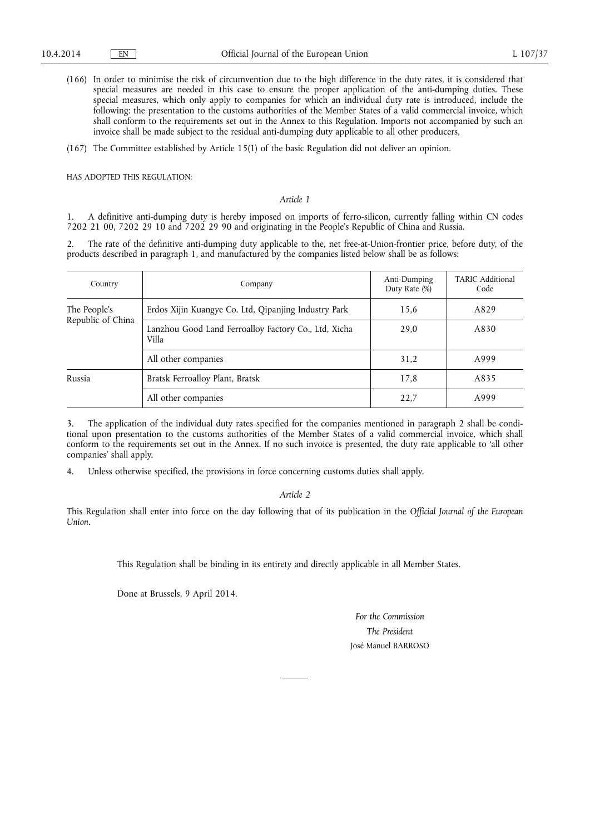- (166) In order to minimise the risk of circumvention due to the high difference in the duty rates, it is considered that special measures are needed in this case to ensure the proper application of the anti-dumping duties. These special measures, which only apply to companies for which an individual duty rate is introduced, include the following: the presentation to the customs authorities of the Member States of a valid commercial invoice, which shall conform to the requirements set out in the Annex to this Regulation. Imports not accompanied by such an invoice shall be made subject to the residual anti-dumping duty applicable to all other producers,
- (167) The Committee established by Article 15(1) of the basic Regulation did not deliver an opinion.

HAS ADOPTED THIS REGULATION:

# *Article 1*

1. A definitive anti-dumping duty is hereby imposed on imports of ferro-silicon, currently falling within CN codes 7202 21 00, 7202 29 10 and 7202 29 90 and originating in the People's Republic of China and Russia.

2. The rate of the definitive anti-dumping duty applicable to the, net free-at-Union-frontier price, before duty, of the products described in paragraph 1, and manufactured by the companies listed below shall be as follows:

| Country           | Company                                                       | Anti-Dumping<br>Duty Rate (%) | TARIC Additional<br>Code |
|-------------------|---------------------------------------------------------------|-------------------------------|--------------------------|
| The People's      | Erdos Xijin Kuangye Co. Ltd, Qipanjing Industry Park          | 15,6                          | A829                     |
| Republic of China | Lanzhou Good Land Ferroalloy Factory Co., Ltd, Xicha<br>Villa | 29,0                          | A830                     |
|                   | All other companies                                           | 31,2                          | A999                     |
| Russia            | Bratsk Ferroalloy Plant, Bratsk                               | 17,8                          | A835                     |
|                   | All other companies                                           | 22,7                          | A999                     |

3. The application of the individual duty rates specified for the companies mentioned in paragraph 2 shall be conditional upon presentation to the customs authorities of the Member States of a valid commercial invoice, which shall conform to the requirements set out in the Annex. If no such invoice is presented, the duty rate applicable to 'all other companies' shall apply.

4. Unless otherwise specified, the provisions in force concerning customs duties shall apply.

*Article 2* 

This Regulation shall enter into force on the day following that of its publication in the *Official Journal of the European Union*.

This Regulation shall be binding in its entirety and directly applicable in all Member States.

Done at Brussels, 9 April 2014.

*For the Commission The President*  José Manuel BARROSO